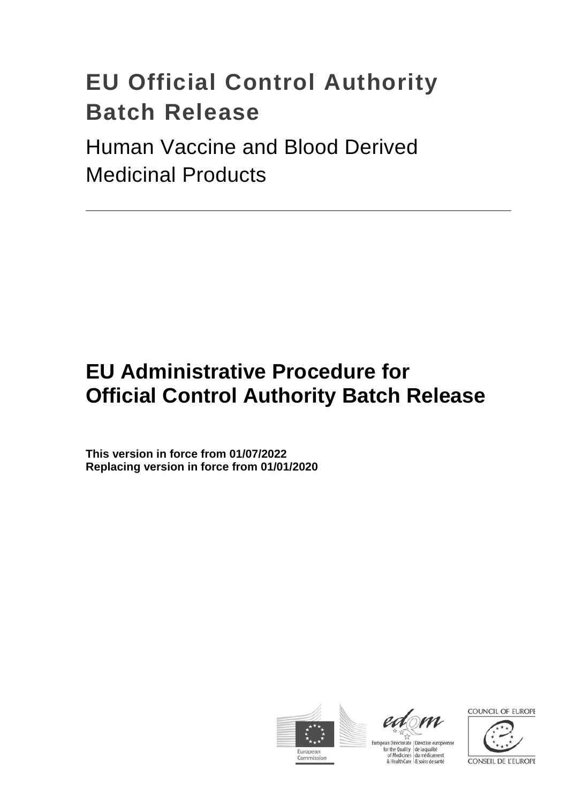# **EU Official Control Authority Batch Release**

Human Vaccine and Blood Derived Medicinal Products

## **EU Administrative Procedure for Official Control Authority Batch Release**

**This version in force from 01/07/2022 Replacing version in force from 01/01/2020**





European Directorate | Direction européenne For the Quality<br>for the Quality<br>of Medicines<br>& HealthCare<br>& soins de santé

COUNCIL OF EUROPE

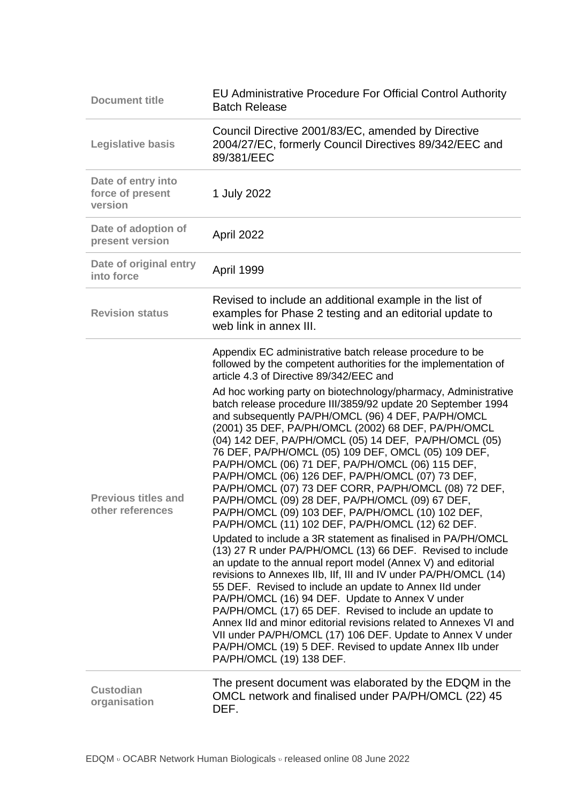| <b>Document title</b>                             | <b>EU Administrative Procedure For Official Control Authority</b><br><b>Batch Release</b>                                                                                                                                                                                                                                                                                                                                                                                                                                                                                                                                                                                                                                                                                                                                                                                                                                                                                                                                                                                                                                                                                                                                                                                                                                                                    |
|---------------------------------------------------|--------------------------------------------------------------------------------------------------------------------------------------------------------------------------------------------------------------------------------------------------------------------------------------------------------------------------------------------------------------------------------------------------------------------------------------------------------------------------------------------------------------------------------------------------------------------------------------------------------------------------------------------------------------------------------------------------------------------------------------------------------------------------------------------------------------------------------------------------------------------------------------------------------------------------------------------------------------------------------------------------------------------------------------------------------------------------------------------------------------------------------------------------------------------------------------------------------------------------------------------------------------------------------------------------------------------------------------------------------------|
| <b>Legislative basis</b>                          | Council Directive 2001/83/EC, amended by Directive<br>2004/27/EC, formerly Council Directives 89/342/EEC and<br>89/381/EEC                                                                                                                                                                                                                                                                                                                                                                                                                                                                                                                                                                                                                                                                                                                                                                                                                                                                                                                                                                                                                                                                                                                                                                                                                                   |
| Date of entry into<br>force of present<br>version | 1 July 2022                                                                                                                                                                                                                                                                                                                                                                                                                                                                                                                                                                                                                                                                                                                                                                                                                                                                                                                                                                                                                                                                                                                                                                                                                                                                                                                                                  |
| Date of adoption of<br>present version            | April 2022                                                                                                                                                                                                                                                                                                                                                                                                                                                                                                                                                                                                                                                                                                                                                                                                                                                                                                                                                                                                                                                                                                                                                                                                                                                                                                                                                   |
| Date of original entry<br>into force              | April 1999                                                                                                                                                                                                                                                                                                                                                                                                                                                                                                                                                                                                                                                                                                                                                                                                                                                                                                                                                                                                                                                                                                                                                                                                                                                                                                                                                   |
| <b>Revision status</b>                            | Revised to include an additional example in the list of<br>examples for Phase 2 testing and an editorial update to<br>web link in annex III.                                                                                                                                                                                                                                                                                                                                                                                                                                                                                                                                                                                                                                                                                                                                                                                                                                                                                                                                                                                                                                                                                                                                                                                                                 |
|                                                   | Appendix EC administrative batch release procedure to be<br>followed by the competent authorities for the implementation of<br>article 4.3 of Directive 89/342/EEC and                                                                                                                                                                                                                                                                                                                                                                                                                                                                                                                                                                                                                                                                                                                                                                                                                                                                                                                                                                                                                                                                                                                                                                                       |
| <b>Previous titles and</b><br>other references    | Ad hoc working party on biotechnology/pharmacy, Administrative<br>batch release procedure III/3859/92 update 20 September 1994<br>and subsequently PA/PH/OMCL (96) 4 DEF, PA/PH/OMCL<br>(2001) 35 DEF, PA/PH/OMCL (2002) 68 DEF, PA/PH/OMCL<br>(04) 142 DEF, PA/PH/OMCL (05) 14 DEF, PA/PH/OMCL (05)<br>76 DEF, PA/PH/OMCL (05) 109 DEF, OMCL (05) 109 DEF,<br>PA/PH/OMCL (06) 71 DEF, PA/PH/OMCL (06) 115 DEF,<br>PA/PH/OMCL (06) 126 DEF, PA/PH/OMCL (07) 73 DEF,<br>PA/PH/OMCL (07) 73 DEF CORR, PA/PH/OMCL (08) 72 DEF,<br>PA/PH/OMCL (09) 28 DEF, PA/PH/OMCL (09) 67 DEF,<br>PA/PH/OMCL (09) 103 DEF, PA/PH/OMCL (10) 102 DEF,<br>PA/PH/OMCL (11) 102 DEF, PA/PH/OMCL (12) 62 DEF.<br>Updated to include a 3R statement as finalised in PA/PH/OMCL<br>(13) 27 R under PA/PH/OMCL (13) 66 DEF. Revised to include<br>an update to the annual report model (Annex V) and editorial<br>revisions to Annexes IIb, IIf, III and IV under PA/PH/OMCL (14)<br>55 DEF. Revised to include an update to Annex IId under<br>PA/PH/OMCL (16) 94 DEF. Update to Annex V under<br>PA/PH/OMCL (17) 65 DEF. Revised to include an update to<br>Annex IId and minor editorial revisions related to Annexes VI and<br>VII under PA/PH/OMCL (17) 106 DEF. Update to Annex V under<br>PA/PH/OMCL (19) 5 DEF. Revised to update Annex IIb under<br>PA/PH/OMCL (19) 138 DEF. |
| <b>Custodian</b><br>organisation                  | The present document was elaborated by the EDQM in the<br>OMCL network and finalised under PA/PH/OMCL (22) 45<br>DEF.                                                                                                                                                                                                                                                                                                                                                                                                                                                                                                                                                                                                                                                                                                                                                                                                                                                                                                                                                                                                                                                                                                                                                                                                                                        |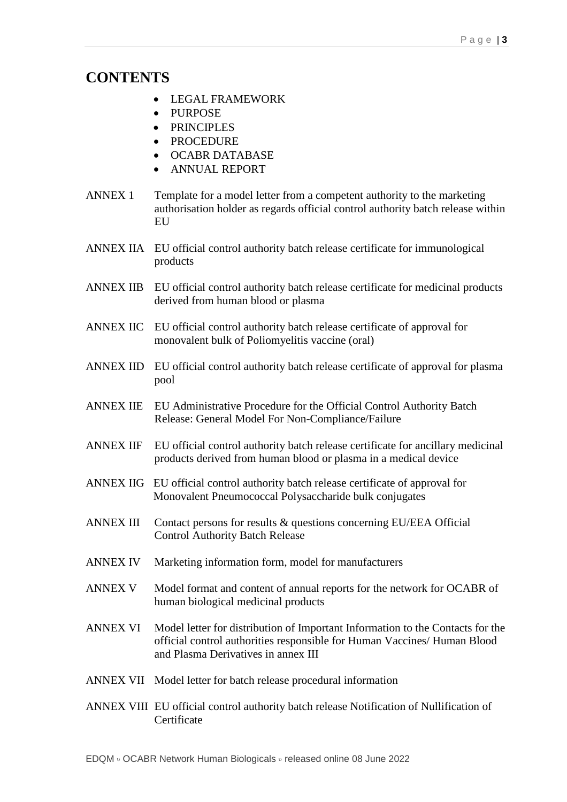### **CONTENTS**

- LEGAL FRAMEWORK
- PURPOSE
- PRINCIPLES
- PROCEDURE
- OCABR DATABASE
- ANNUAL REPORT
- ANNEX 1 Template for a model letter from a competent authority to the marketing authorisation holder as regards official control authority batch release within EU
- ANNEX IIA EU official control authority batch release certificate for immunological products
- ANNEX IIB EU official control authority batch release certificate for medicinal products derived from human blood or plasma
- ANNEX IIC EU official control authority batch release certificate of approval for monovalent bulk of Poliomyelitis vaccine (oral)
- ANNEX IID EU official control authority batch release certificate of approval for plasma pool
- ANNEX IIE EU Administrative Procedure for the Official Control Authority Batch Release: General Model For Non-Compliance/Failure
- ANNEX IIF EU official control authority batch release certificate for ancillary medicinal products derived from human blood or plasma in a medical device
- ANNEX IIG EU official control authority batch release certificate of approval for Monovalent Pneumococcal Polysaccharide bulk conjugates
- ANNEX III Contact persons for results & questions concerning EU/EEA Official Control Authority Batch Release
- ANNEX IV Marketing information form, model for manufacturers
- ANNEX V Model format and content of annual reports for the network for OCABR of human biological medicinal products
- ANNEX VI Model letter for distribution of Important Information to the Contacts for the official control authorities responsible for Human Vaccines/ Human Blood and Plasma Derivatives in annex III
- ANNEX VII Model letter for batch release procedural information
- ANNEX VIII EU official control authority batch release Notification of Nullification of **Certificate**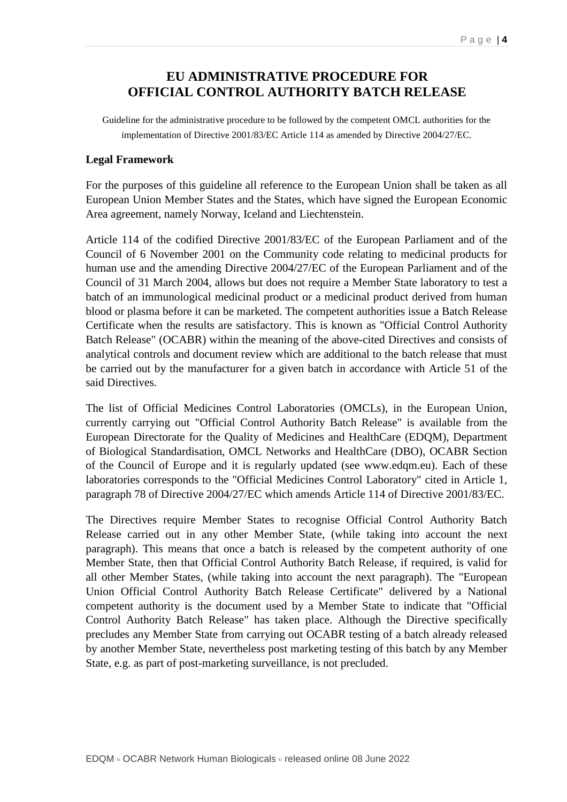### **EU ADMINISTRATIVE PROCEDURE FOR OFFICIAL CONTROL AUTHORITY BATCH RELEASE**

Guideline for the administrative procedure to be followed by the competent OMCL authorities for the implementation of Directive 2001/83/EC Article 114 as amended by Directive 2004/27/EC.

### **Legal Framework**

For the purposes of this guideline all reference to the European Union shall be taken as all European Union Member States and the States, which have signed the European Economic Area agreement, namely Norway, Iceland and Liechtenstein.

Article 114 of the codified Directive 2001/83/EC of the European Parliament and of the Council of 6 November 2001 on the Community code relating to medicinal products for human use and the amending Directive 2004/27/EC of the European Parliament and of the Council of 31 March 2004, allows but does not require a Member State laboratory to test a batch of an immunological medicinal product or a medicinal product derived from human blood or plasma before it can be marketed. The competent authorities issue a Batch Release Certificate when the results are satisfactory. This is known as "Official Control Authority Batch Release" (OCABR) within the meaning of the above-cited Directives and consists of analytical controls and document review which are additional to the batch release that must be carried out by the manufacturer for a given batch in accordance with Article 51 of the said Directives.

The list of Official Medicines Control Laboratories (OMCLs), in the European Union, currently carrying out "Official Control Authority Batch Release" is available from the European Directorate for the Quality of Medicines and HealthCare (EDQM), Department of Biological Standardisation, OMCL Networks and HealthCare (DBO), OCABR Section of the Council of Europe and it is regularly updated (see www.edqm.eu). Each of these laboratories corresponds to the "Official Medicines Control Laboratory" cited in Article 1, paragraph 78 of Directive 2004/27/EC which amends Article 114 of Directive 2001/83/EC.

The Directives require Member States to recognise Official Control Authority Batch Release carried out in any other Member State, (while taking into account the next paragraph). This means that once a batch is released by the competent authority of one Member State, then that Official Control Authority Batch Release, if required, is valid for all other Member States, (while taking into account the next paragraph). The "European Union Official Control Authority Batch Release Certificate" delivered by a National competent authority is the document used by a Member State to indicate that "Official Control Authority Batch Release" has taken place. Although the Directive specifically precludes any Member State from carrying out OCABR testing of a batch already released by another Member State, nevertheless post marketing testing of this batch by any Member State, e.g. as part of post-marketing surveillance, is not precluded.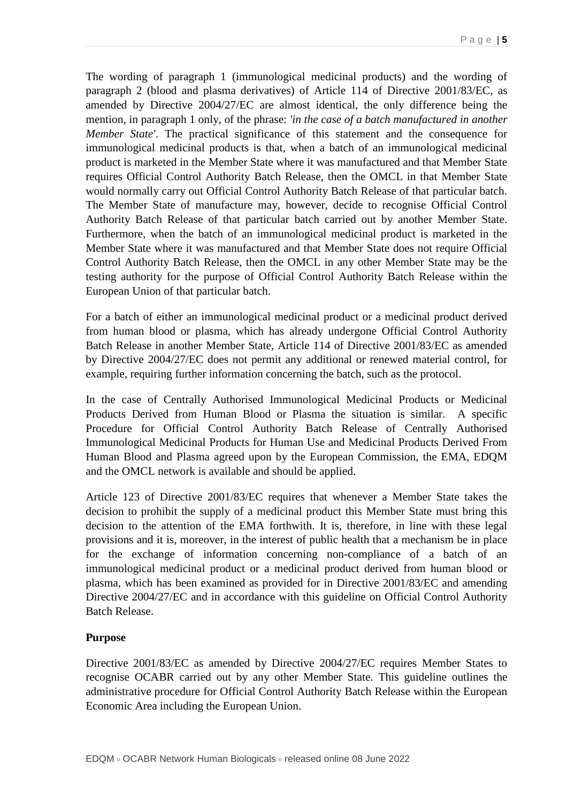The wording of paragraph 1 (immunological medicinal products) and the wording of paragraph 2 (blood and plasma derivatives) of Article 114 of Directive 2001/83/EC, as amended by Directive 2004/27/EC are almost identical, the only difference being the mention, in paragraph 1 only, of the phrase: *'in the case of a batch manufactured in another Member State'*. The practical significance of this statement and the consequence for immunological medicinal products is that, when a batch of an immunological medicinal product is marketed in the Member State where it was manufactured and that Member State requires Official Control Authority Batch Release, then the OMCL in that Member State would normally carry out Official Control Authority Batch Release of that particular batch. The Member State of manufacture may, however, decide to recognise Official Control Authority Batch Release of that particular batch carried out by another Member State. Furthermore, when the batch of an immunological medicinal product is marketed in the Member State where it was manufactured and that Member State does not require Official Control Authority Batch Release, then the OMCL in any other Member State may be the testing authority for the purpose of Official Control Authority Batch Release within the European Union of that particular batch.

For a batch of either an immunological medicinal product or a medicinal product derived from human blood or plasma, which has already undergone Official Control Authority Batch Release in another Member State, Article 114 of Directive 2001/83/EC as amended by Directive 2004/27/EC does not permit any additional or renewed material control, for example, requiring further information concerning the batch, such as the protocol.

In the case of Centrally Authorised Immunological Medicinal Products or Medicinal Products Derived from Human Blood or Plasma the situation is similar. A specific Procedure for Official Control Authority Batch Release of Centrally Authorised Immunological Medicinal Products for Human Use and Medicinal Products Derived From Human Blood and Plasma agreed upon by the European Commission, the EMA, EDQM and the OMCL network is available and should be applied.

Article 123 of Directive 2001/83/EC requires that whenever a Member State takes the decision to prohibit the supply of a medicinal product this Member State must bring this decision to the attention of the EMA forthwith. It is, therefore, in line with these legal provisions and it is, moreover, in the interest of public health that a mechanism be in place for the exchange of information concerning non-compliance of a batch of an immunological medicinal product or a medicinal product derived from human blood or plasma, which has been examined as provided for in Directive 2001/83/EC and amending Directive 2004/27/EC and in accordance with this guideline on Official Control Authority Batch Release.

#### **Purpose**

Directive 2001/83/EC as amended by Directive 2004/27/EC requires Member States to recognise OCABR carried out by any other Member State. This guideline outlines the administrative procedure for Official Control Authority Batch Release within the European Economic Area including the European Union.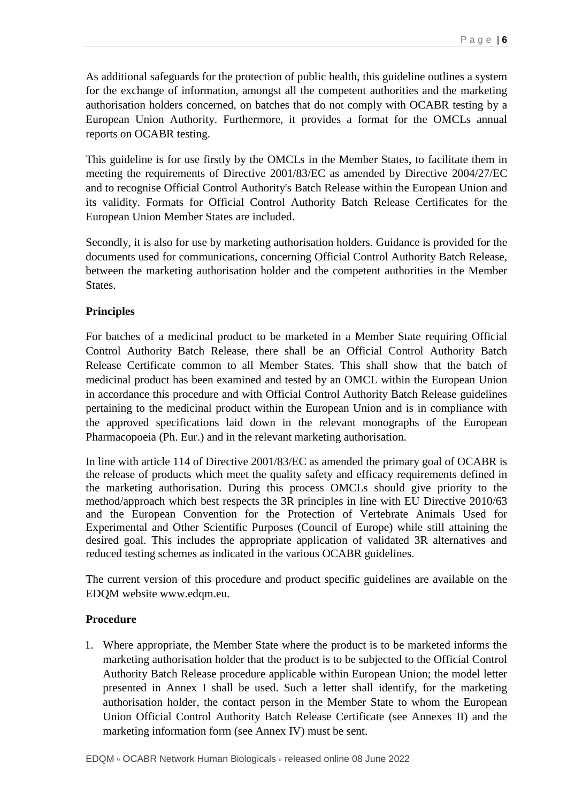As additional safeguards for the protection of public health, this guideline outlines a system for the exchange of information, amongst all the competent authorities and the marketing authorisation holders concerned, on batches that do not comply with OCABR testing by a European Union Authority. Furthermore, it provides a format for the OMCLs annual reports on OCABR testing.

This guideline is for use firstly by the OMCLs in the Member States, to facilitate them in meeting the requirements of Directive 2001/83/EC as amended by Directive 2004/27/EC and to recognise Official Control Authority's Batch Release within the European Union and its validity. Formats for Official Control Authority Batch Release Certificates for the European Union Member States are included.

Secondly, it is also for use by marketing authorisation holders. Guidance is provided for the documents used for communications, concerning Official Control Authority Batch Release, between the marketing authorisation holder and the competent authorities in the Member States.

### **Principles**

For batches of a medicinal product to be marketed in a Member State requiring Official Control Authority Batch Release, there shall be an Official Control Authority Batch Release Certificate common to all Member States. This shall show that the batch of medicinal product has been examined and tested by an OMCL within the European Union in accordance this procedure and with Official Control Authority Batch Release guidelines pertaining to the medicinal product within the European Union and is in compliance with the approved specifications laid down in the relevant monographs of the European Pharmacopoeia (Ph. Eur.) and in the relevant marketing authorisation.

In line with article 114 of Directive 2001/83/EC as amended the primary goal of OCABR is the release of products which meet the quality safety and efficacy requirements defined in the marketing authorisation. During this process OMCLs should give priority to the method/approach which best respects the 3R principles in line with EU Directive 2010/63 and the European Convention for the Protection of Vertebrate Animals Used for Experimental and Other Scientific Purposes (Council of Europe) while still attaining the desired goal. This includes the appropriate application of validated 3R alternatives and reduced testing schemes as indicated in the various OCABR guidelines.

The current version of this procedure and product specific guidelines are available on the EDQM website www.edqm.eu.

### **Procedure**

1. Where appropriate, the Member State where the product is to be marketed informs the marketing authorisation holder that the product is to be subjected to the Official Control Authority Batch Release procedure applicable within European Union; the model letter presented in Annex I shall be used. Such a letter shall identify, for the marketing authorisation holder, the contact person in the Member State to whom the European Union Official Control Authority Batch Release Certificate (see Annexes II) and the marketing information form (see Annex IV) must be sent.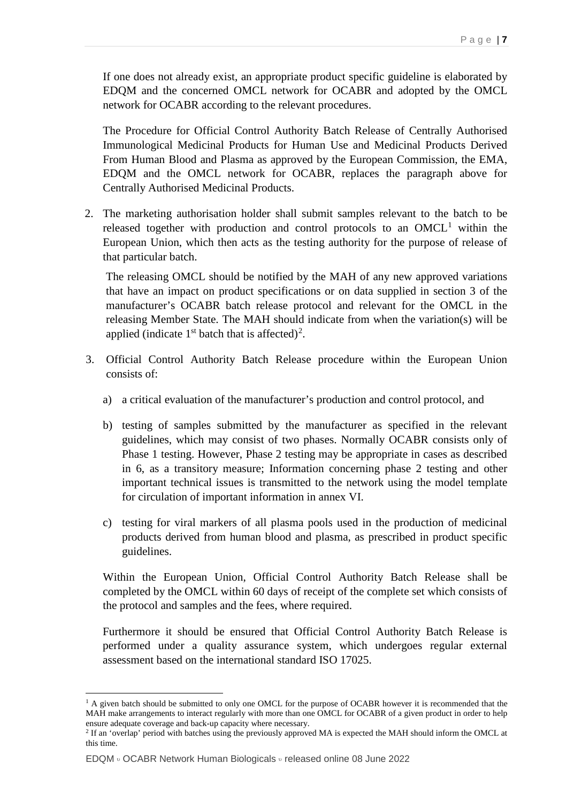If one does not already exist, an appropriate product specific guideline is elaborated by EDQM and the concerned OMCL network for OCABR and adopted by the OMCL network for OCABR according to the relevant procedures.

The Procedure for Official Control Authority Batch Release of Centrally Authorised Immunological Medicinal Products for Human Use and Medicinal Products Derived From Human Blood and Plasma as approved by the European Commission, the EMA, EDQM and the OMCL network for OCABR, replaces the paragraph above for Centrally Authorised Medicinal Products.

2. The marketing authorisation holder shall submit samples relevant to the batch to be released together with production and control protocols to an  $OMCL<sup>1</sup>$  $OMCL<sup>1</sup>$  $OMCL<sup>1</sup>$  within the European Union, which then acts as the testing authority for the purpose of release of that particular batch.

The releasing OMCL should be notified by the MAH of any new approved variations that have an impact on product specifications or on data supplied in section 3 of the manufacturer's OCABR batch release protocol and relevant for the OMCL in the releasing Member State. The MAH should indicate from when the variation(s) will be applied (indicate  $1<sup>st</sup>$  batch that is affected)<sup>[2](#page-6-1)</sup>.

- 3. Official Control Authority Batch Release procedure within the European Union consists of:
	- a) a critical evaluation of the manufacturer's production and control protocol, and
	- b) testing of samples submitted by the manufacturer as specified in the relevant guidelines, which may consist of two phases. Normally OCABR consists only of Phase 1 testing. However, Phase 2 testing may be appropriate in cases as described in 6, as a transitory measure; Information concerning phase 2 testing and other important technical issues is transmitted to the network using the model template for circulation of important information in annex VI.
	- c) testing for viral markers of all plasma pools used in the production of medicinal products derived from human blood and plasma, as prescribed in product specific guidelines.

Within the European Union, Official Control Authority Batch Release shall be completed by the OMCL within 60 days of receipt of the complete set which consists of the protocol and samples and the fees, where required.

Furthermore it should be ensured that Official Control Authority Batch Release is performed under a quality assurance system, which undergoes regular external assessment based on the international standard ISO 17025.

<span id="page-6-0"></span> $1$  A given batch should be submitted to only one OMCL for the purpose of OCABR however it is recommended that the MAH make arrangements to interact regularly with more than one OMCL for OCABR of a given product in order to help ensure adequate coverage and back-up capacity where necessary.

<span id="page-6-1"></span><sup>2</sup> If an 'overlap' period with batches using the previously approved MA is expected the MAH should inform the OMCL at this time.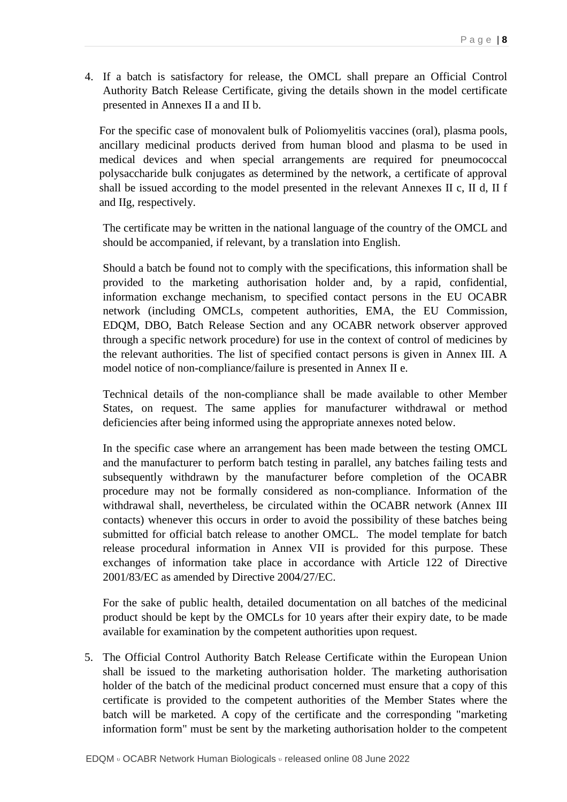4. If a batch is satisfactory for release, the OMCL shall prepare an Official Control Authority Batch Release Certificate, giving the details shown in the model certificate presented in Annexes II a and II b.

For the specific case of monovalent bulk of Poliomyelitis vaccines (oral), plasma pools, ancillary medicinal products derived from human blood and plasma to be used in medical devices and when special arrangements are required for pneumococcal polysaccharide bulk conjugates as determined by the network, a certificate of approval shall be issued according to the model presented in the relevant Annexes II c, II d, II f and IIg, respectively.

The certificate may be written in the national language of the country of the OMCL and should be accompanied, if relevant, by a translation into English.

Should a batch be found not to comply with the specifications, this information shall be provided to the marketing authorisation holder and, by a rapid, confidential, information exchange mechanism, to specified contact persons in the EU OCABR network (including OMCLs, competent authorities, EMA, the EU Commission, EDQM, DBO, Batch Release Section and any OCABR network observer approved through a specific network procedure) for use in the context of control of medicines by the relevant authorities. The list of specified contact persons is given in Annex III. A model notice of non-compliance/failure is presented in Annex II e.

Technical details of the non-compliance shall be made available to other Member States, on request. The same applies for manufacturer withdrawal or method deficiencies after being informed using the appropriate annexes noted below.

In the specific case where an arrangement has been made between the testing OMCL and the manufacturer to perform batch testing in parallel, any batches failing tests and subsequently withdrawn by the manufacturer before completion of the OCABR procedure may not be formally considered as non-compliance. Information of the withdrawal shall, nevertheless, be circulated within the OCABR network (Annex III contacts) whenever this occurs in order to avoid the possibility of these batches being submitted for official batch release to another OMCL. The model template for batch release procedural information in Annex VII is provided for this purpose. These exchanges of information take place in accordance with Article 122 of Directive 2001/83/EC as amended by Directive 2004/27/EC.

For the sake of public health, detailed documentation on all batches of the medicinal product should be kept by the OMCLs for 10 years after their expiry date, to be made available for examination by the competent authorities upon request.

5. The Official Control Authority Batch Release Certificate within the European Union shall be issued to the marketing authorisation holder. The marketing authorisation holder of the batch of the medicinal product concerned must ensure that a copy of this certificate is provided to the competent authorities of the Member States where the batch will be marketed. A copy of the certificate and the corresponding "marketing information form" must be sent by the marketing authorisation holder to the competent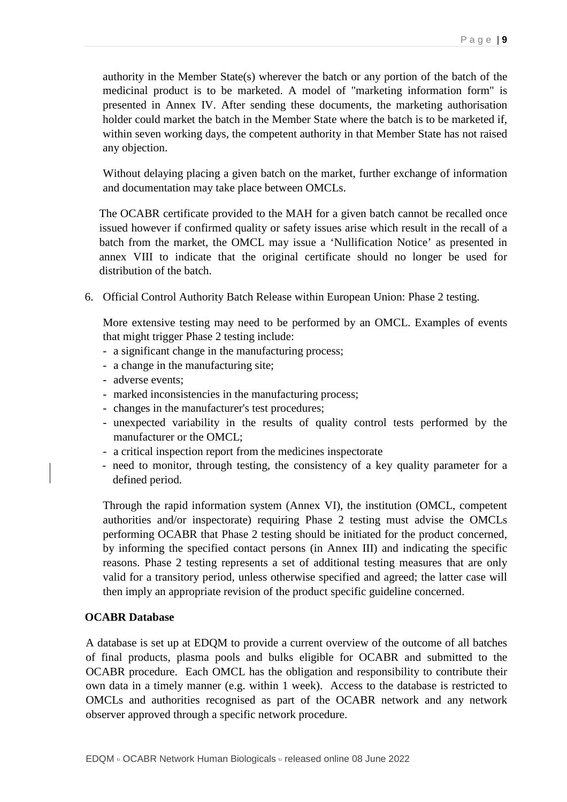authority in the Member State(s) wherever the batch or any portion of the batch of the medicinal product is to be marketed. A model of "marketing information form" is presented in Annex IV. After sending these documents, the marketing authorisation holder could market the batch in the Member State where the batch is to be marketed if, within seven working days, the competent authority in that Member State has not raised any objection.

Without delaying placing a given batch on the market, further exchange of information and documentation may take place between OMCLs.

The OCABR certificate provided to the MAH for a given batch cannot be recalled once issued however if confirmed quality or safety issues arise which result in the recall of a batch from the market, the OMCL may issue a 'Nullification Notice' as presented in annex VIII to indicate that the original certificate should no longer be used for distribution of the batch.

6. Official Control Authority Batch Release within European Union: Phase 2 testing.

More extensive testing may need to be performed by an OMCL. Examples of events that might trigger Phase 2 testing include:

- a significant change in the manufacturing process;
- a change in the manufacturing site;
- adverse events;
- marked inconsistencies in the manufacturing process;
- changes in the manufacturer's test procedures;
- unexpected variability in the results of quality control tests performed by the manufacturer or the OMCL;
- a critical inspection report from the medicines inspectorate
- need to monitor, through testing, the consistency of a key quality parameter for a defined period.

Through the rapid information system (Annex VI), the institution (OMCL, competent authorities and/or inspectorate) requiring Phase 2 testing must advise the OMCLs performing OCABR that Phase 2 testing should be initiated for the product concerned, by informing the specified contact persons (in Annex III) and indicating the specific reasons. Phase 2 testing represents a set of additional testing measures that are only valid for a transitory period, unless otherwise specified and agreed; the latter case will then imply an appropriate revision of the product specific guideline concerned.

#### **OCABR Database**

A database is set up at EDQM to provide a current overview of the outcome of all batches of final products, plasma pools and bulks eligible for OCABR and submitted to the OCABR procedure. Each OMCL has the obligation and responsibility to contribute their own data in a timely manner (e.g. within 1 week). Access to the database is restricted to OMCLs and authorities recognised as part of the OCABR network and any network observer approved through a specific network procedure.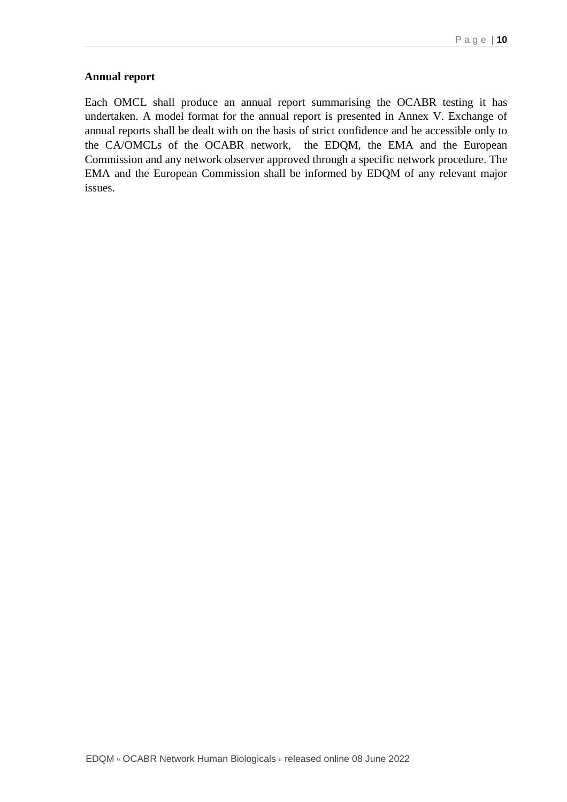### **Annual report**

Each OMCL shall produce an annual report summarising the OCABR testing it has undertaken. A model format for the annual report is presented in Annex V. Exchange of annual reports shall be dealt with on the basis of strict confidence and be accessible only to the CA/OMCLs of the OCABR network, the EDQM, the EMA and the European Commission and any network observer approved through a specific network procedure. The EMA and the European Commission shall be informed by EDQM of any relevant major issues.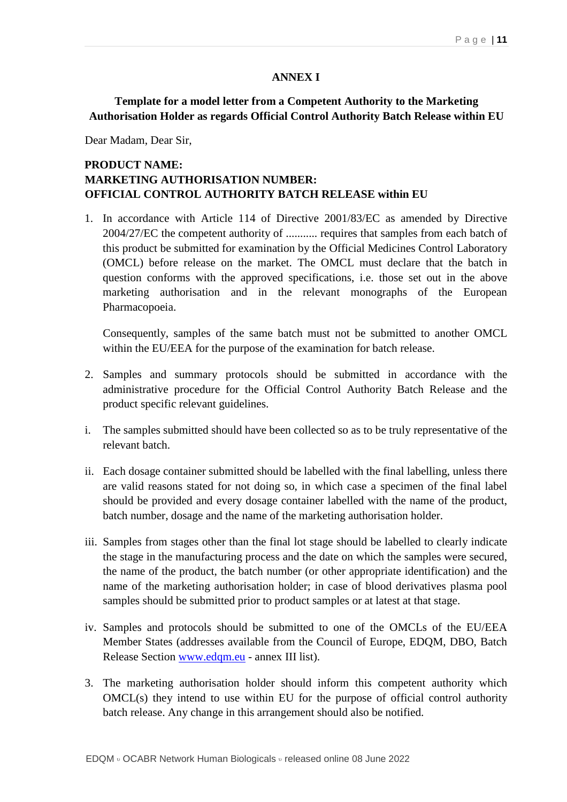#### **ANNEX I**

### **Template for a model letter from a Competent Authority to the Marketing Authorisation Holder as regards Official Control Authority Batch Release within EU**

Dear Madam, Dear Sir,

### **PRODUCT NAME: MARKETING AUTHORISATION NUMBER: OFFICIAL CONTROL AUTHORITY BATCH RELEASE within EU**

1. In accordance with Article 114 of Directive 2001/83/EC as amended by Directive 2004/27/EC the competent authority of ........... requires that samples from each batch of this product be submitted for examination by the Official Medicines Control Laboratory (OMCL) before release on the market. The OMCL must declare that the batch in question conforms with the approved specifications, i.e. those set out in the above marketing authorisation and in the relevant monographs of the European Pharmacopoeia.

Consequently, samples of the same batch must not be submitted to another OMCL within the EU/EEA for the purpose of the examination for batch release.

- 2. Samples and summary protocols should be submitted in accordance with the administrative procedure for the Official Control Authority Batch Release and the product specific relevant guidelines.
- i. The samples submitted should have been collected so as to be truly representative of the relevant batch.
- ii. Each dosage container submitted should be labelled with the final labelling, unless there are valid reasons stated for not doing so, in which case a specimen of the final label should be provided and every dosage container labelled with the name of the product, batch number, dosage and the name of the marketing authorisation holder.
- iii. Samples from stages other than the final lot stage should be labelled to clearly indicate the stage in the manufacturing process and the date on which the samples were secured, the name of the product, the batch number (or other appropriate identification) and the name of the marketing authorisation holder; in case of blood derivatives plasma pool samples should be submitted prior to product samples or at latest at that stage.
- iv. Samples and protocols should be submitted to one of the OMCLs of the EU/EEA Member States (addresses available from the Council of Europe, EDQM, DBO, Batch Release Section [www.edqm.eu](http://www.edqm.eu/) - annex III list).
- 3. The marketing authorisation holder should inform this competent authority which OMCL(s) they intend to use within EU for the purpose of official control authority batch release. Any change in this arrangement should also be notified.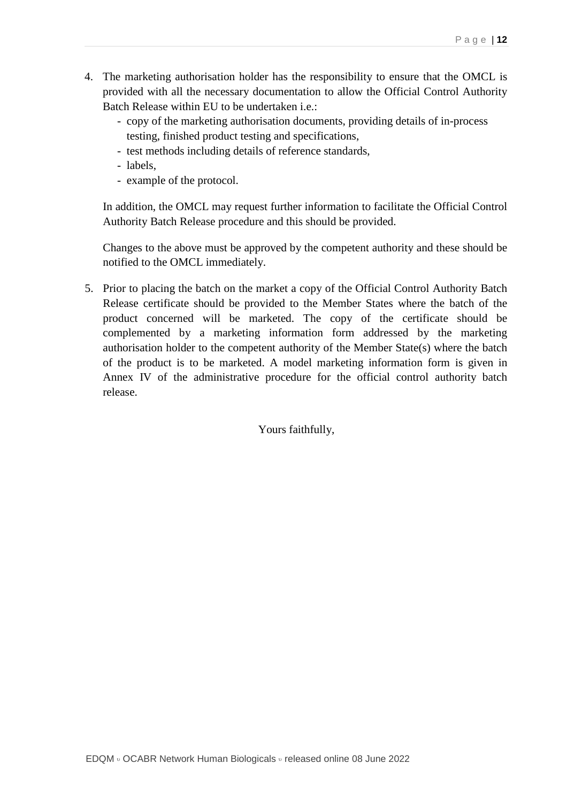- 4. The marketing authorisation holder has the responsibility to ensure that the OMCL is provided with all the necessary documentation to allow the Official Control Authority Batch Release within EU to be undertaken i.e.:
	- copy of the marketing authorisation documents, providing details of in-process testing, finished product testing and specifications,
	- test methods including details of reference standards,
	- labels,
	- example of the protocol.

In addition, the OMCL may request further information to facilitate the Official Control Authority Batch Release procedure and this should be provided.

Changes to the above must be approved by the competent authority and these should be notified to the OMCL immediately.

5. Prior to placing the batch on the market a copy of the Official Control Authority Batch Release certificate should be provided to the Member States where the batch of the product concerned will be marketed. The copy of the certificate should be complemented by a marketing information form addressed by the marketing authorisation holder to the competent authority of the Member State(s) where the batch of the product is to be marketed. A model marketing information form is given in Annex IV of the administrative procedure for the official control authority batch release.

Yours faithfully,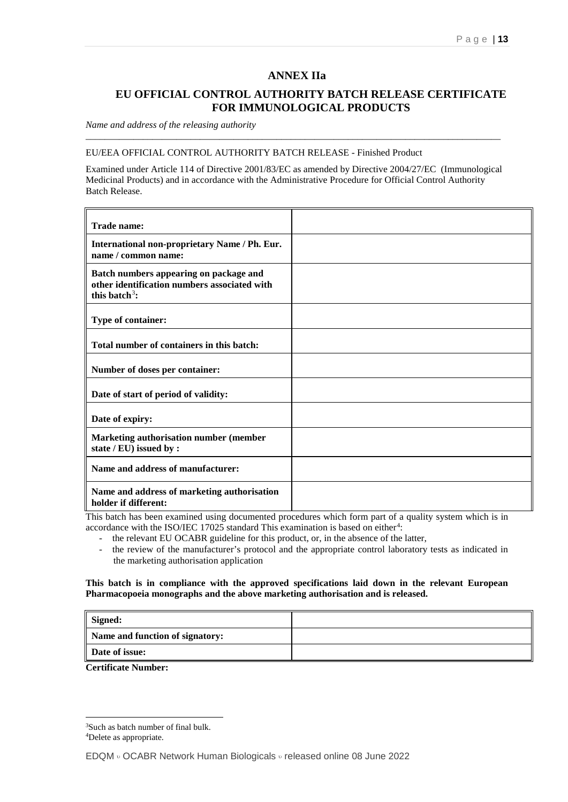#### **ANNEX IIa**

### **EU OFFICIAL CONTROL AUTHORITY BATCH RELEASE CERTIFICATE FOR IMMUNOLOGICAL PRODUCTS**

*Name and address of the releasing authority*

#### EU/EEA OFFICIAL CONTROL AUTHORITY BATCH RELEASE - Finished Product

Examined under Article 114 of Directive 2001/83/EC as amended by Directive 2004/27/EC (Immunological Medicinal Products) and in accordance with the Administrative Procedure for Official Control Authority Batch Release.

\_\_\_\_\_\_\_\_\_\_\_\_\_\_\_\_\_\_\_\_\_\_\_\_\_\_\_\_\_\_\_\_\_\_\_\_\_\_\_\_\_\_\_\_\_\_\_\_\_\_\_\_\_\_\_\_\_\_\_\_\_\_\_\_\_\_\_\_\_\_\_\_\_\_\_\_\_\_\_\_\_\_\_\_\_\_\_

| <b>Trade name:</b>                                                                                                  |  |
|---------------------------------------------------------------------------------------------------------------------|--|
| International non-proprietary Name / Ph. Eur.<br>name / common name:                                                |  |
| Batch numbers appearing on package and<br>other identification numbers associated with<br>this batch <sup>3</sup> : |  |
| Type of container:                                                                                                  |  |
| Total number of containers in this batch:                                                                           |  |
| Number of doses per container:                                                                                      |  |
| Date of start of period of validity:                                                                                |  |
| Date of expiry:                                                                                                     |  |
| Marketing authorisation number (member<br>state / EU) issued by :                                                   |  |
| Name and address of manufacturer:                                                                                   |  |
| Name and address of marketing authorisation<br>holder if different:                                                 |  |

This batch has been examined using documented procedures which form part of a quality system which is in accordance with the ISO/IEC 17025 standard This examination is based on either<sup>[4](#page-12-1)</sup>:

- the relevant EU OCABR guideline for this product, or, in the absence of the latter,
- the review of the manufacturer's protocol and the appropriate control laboratory tests as indicated in the marketing authorisation application

#### **This batch is in compliance with the approved specifications laid down in the relevant European Pharmacopoeia monographs and the above marketing authorisation and is released.**

| Signed:                                                 |  |
|---------------------------------------------------------|--|
| Name and function of signatory:                         |  |
| Date of issue:                                          |  |
| $\sim$ $\sim$ $\sim$ $\sim$ $\sim$ $\sim$ $\sim$ $\sim$ |  |

<span id="page-12-0"></span> <sup>3</sup>Such as batch number of final bulk.

<span id="page-12-1"></span><sup>4</sup>Delete as appropriate.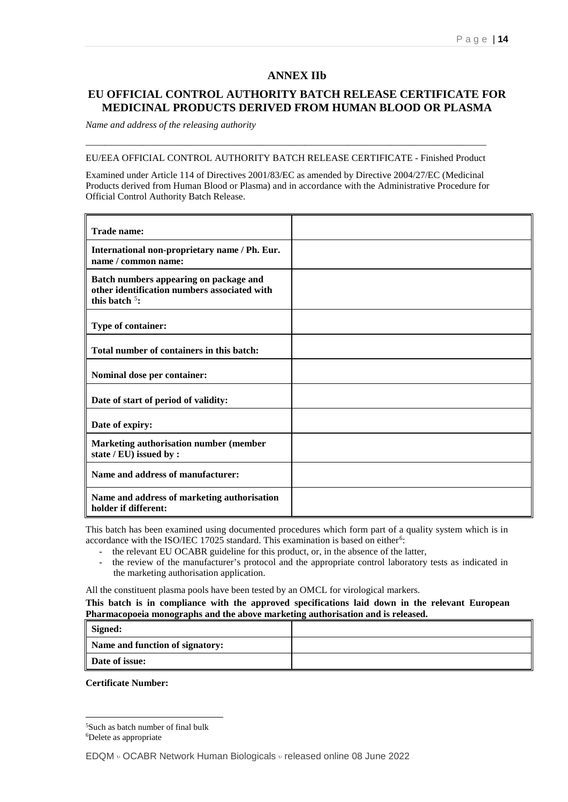#### **ANNEX IIb**

### **EU OFFICIAL CONTROL AUTHORITY BATCH RELEASE CERTIFICATE FOR MEDICINAL PRODUCTS DERIVED FROM HUMAN BLOOD OR PLASMA**

*Name and address of the releasing authority*

### \_\_\_\_\_\_\_\_\_\_\_\_\_\_\_\_\_\_\_\_\_\_\_\_\_\_\_\_\_\_\_\_\_\_\_\_\_\_\_\_\_\_\_\_\_\_\_\_\_\_\_\_\_\_\_\_\_\_\_\_\_\_\_\_\_\_\_\_\_\_\_\_\_\_\_\_\_\_\_\_\_\_\_\_ EU/EEA OFFICIAL CONTROL AUTHORITY BATCH RELEASE CERTIFICATE - Finished Product

Examined under Article 114 of Directives 2001/83/EC as amended by Directive 2004/27/EC (Medicinal Products derived from Human Blood or Plasma) and in accordance with the Administrative Procedure for Official Control Authority Batch Release.

| <b>Trade name:</b>                                                                                         |  |
|------------------------------------------------------------------------------------------------------------|--|
| International non-proprietary name / Ph. Eur.<br>name / common name:                                       |  |
| Batch numbers appearing on package and<br>other identification numbers associated with<br>this batch $5$ : |  |
| Type of container:                                                                                         |  |
| Total number of containers in this batch:                                                                  |  |
| Nominal dose per container:                                                                                |  |
| Date of start of period of validity:                                                                       |  |
| Date of expiry:                                                                                            |  |
| <b>Marketing authorisation number (member</b><br>state / EU) issued by :                                   |  |
| Name and address of manufacturer:                                                                          |  |
| Name and address of marketing authorisation<br>holder if different:                                        |  |

This batch has been examined using documented procedures which form part of a quality system which is in accordance with the ISO/IEC 17025 standard. This examination is based on either<sup>[6](#page-13-1)</sup>:

- the relevant EU OCABR guideline for this product, or, in the absence of the latter,
- the review of the manufacturer's protocol and the appropriate control laboratory tests as indicated in the marketing authorisation application.

All the constituent plasma pools have been tested by an OMCL for virological markers.

#### **This batch is in compliance with the approved specifications laid down in the relevant European Pharmacopoeia monographs and the above marketing authorisation and is released.**

| Signed:                         |  |
|---------------------------------|--|
| Name and function of signatory: |  |
| Date of issue:                  |  |

<span id="page-13-0"></span> <sup>5</sup>Such as batch number of final bulk

<span id="page-13-1"></span><sup>6</sup>Delete as appropriate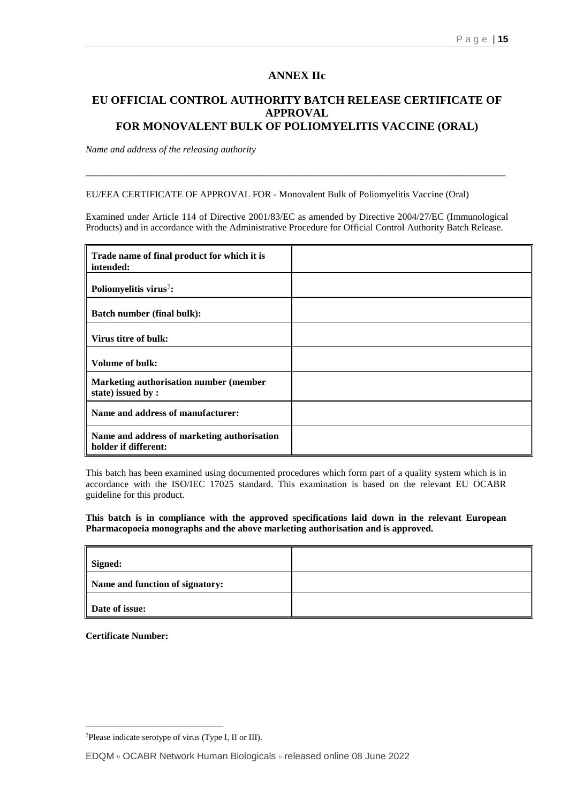#### **ANNEX IIc**

### **EU OFFICIAL CONTROL AUTHORITY BATCH RELEASE CERTIFICATE OF APPROVAL FOR MONOVALENT BULK OF POLIOMYELITIS VACCINE (ORAL)**

*Name and address of the releasing authority*

EU/EEA CERTIFICATE OF APPROVAL FOR - Monovalent Bulk of Poliomyelitis Vaccine (Oral)

Examined under Article 114 of Directive 2001/83/EC as amended by Directive 2004/27/EC (Immunological Products) and in accordance with the Administrative Procedure for Official Control Authority Batch Release.

\_\_\_\_\_\_\_\_\_\_\_\_\_\_\_\_\_\_\_\_\_\_\_\_\_\_\_\_\_\_\_\_\_\_\_\_\_\_\_\_\_\_\_\_\_\_\_\_\_\_\_\_\_\_\_\_\_\_\_\_\_\_\_\_\_\_\_\_\_\_\_\_\_\_\_\_\_\_\_\_\_\_\_\_\_\_\_\_

| Trade name of final product for which it is<br>intended:            |  |
|---------------------------------------------------------------------|--|
| Poliomyelitis virus <sup>7</sup> :                                  |  |
| <b>Batch number (final bulk):</b>                                   |  |
| Virus titre of bulk:                                                |  |
| <b>Volume of bulk:</b>                                              |  |
| Marketing authorisation number (member<br>state) issued by:         |  |
| Name and address of manufacturer:                                   |  |
| Name and address of marketing authorisation<br>holder if different: |  |

This batch has been examined using documented procedures which form part of a quality system which is in accordance with the ISO/IEC 17025 standard. This examination is based on the relevant EU OCABR guideline for this product.

**This batch is in compliance with the approved specifications laid down in the relevant European Pharmacopoeia monographs and the above marketing authorisation and is approved.**

| Signed:                         |  |
|---------------------------------|--|
| Name and function of signatory: |  |
| Date of issue:                  |  |

<span id="page-14-0"></span> <sup>7</sup>Please indicate serotype of virus (Type I, II or III).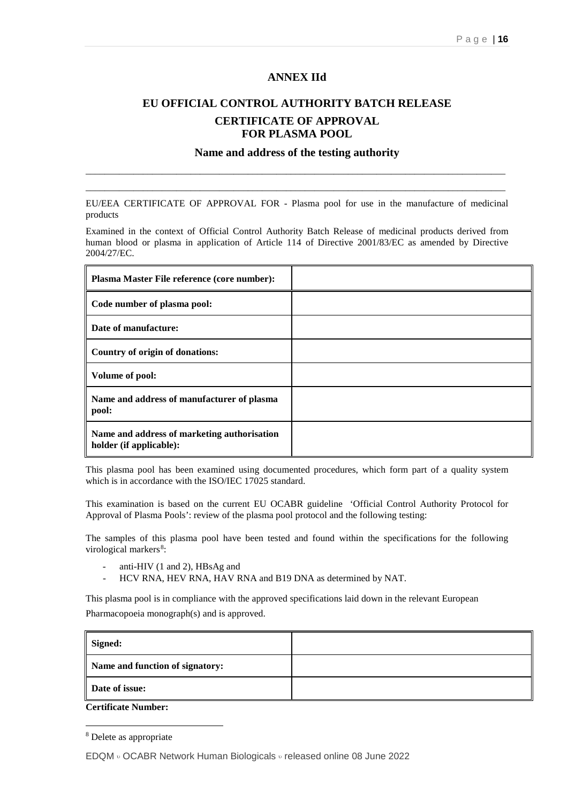#### **ANNEX IId**

### **EU OFFICIAL CONTROL AUTHORITY BATCH RELEASE CERTIFICATE OF APPROVAL FOR PLASMA POOL**

### **Name and address of the testing authority** \_\_\_\_\_\_\_\_\_\_\_\_\_\_\_\_\_\_\_\_\_\_\_\_\_\_\_\_\_\_\_\_\_\_\_\_\_\_\_\_\_\_\_\_\_\_\_\_\_\_\_\_\_\_\_\_\_\_\_\_\_\_\_\_\_\_\_\_\_\_\_\_\_\_\_\_\_\_\_\_\_\_\_\_\_\_\_\_

EU/EEA CERTIFICATE OF APPROVAL FOR - Plasma pool for use in the manufacture of medicinal products

\_\_\_\_\_\_\_\_\_\_\_\_\_\_\_\_\_\_\_\_\_\_\_\_\_\_\_\_\_\_\_\_\_\_\_\_\_\_\_\_\_\_\_\_\_\_\_\_\_\_\_\_\_\_\_\_\_\_\_\_\_\_\_\_\_\_\_\_\_\_\_\_\_\_\_\_\_\_\_\_\_\_\_\_\_\_\_\_

Examined in the context of Official Control Authority Batch Release of medicinal products derived from human blood or plasma in application of Article 114 of Directive 2001/83/EC as amended by Directive 2004/27/EC.

| Plasma Master File reference (core number):                            |  |
|------------------------------------------------------------------------|--|
| Code number of plasma pool:                                            |  |
| Date of manufacture:                                                   |  |
| Country of origin of donations:                                        |  |
| Volume of pool:                                                        |  |
| Name and address of manufacturer of plasma<br>pool:                    |  |
| Name and address of marketing authorisation<br>holder (if applicable): |  |

This plasma pool has been examined using documented procedures, which form part of a quality system which is in accordance with the ISO/IEC 17025 standard.

This examination is based on the current EU OCABR guideline 'Official Control Authority Protocol for Approval of Plasma Pools': review of the plasma pool protocol and the following testing:

The samples of this plasma pool have been tested and found within the specifications for the following virological markers<sup>[8](#page-15-0)</sup>:

- anti-HIV (1 and 2), HBsAg and
- HCV RNA, HEV RNA, HAV RNA and B19 DNA as determined by NAT.

This plasma pool is in compliance with the approved specifications laid down in the relevant European Pharmacopoeia monograph(s) and is approved.

| Signed:                         |  |
|---------------------------------|--|
| Name and function of signatory: |  |
| Date of issue:                  |  |

**Certificate Number:**

EDQM <sup>υ</sup> OCABR Network Human Biologicals <sup>υ</sup> released online 08 June 2022

<span id="page-15-0"></span> <sup>8</sup> Delete as appropriate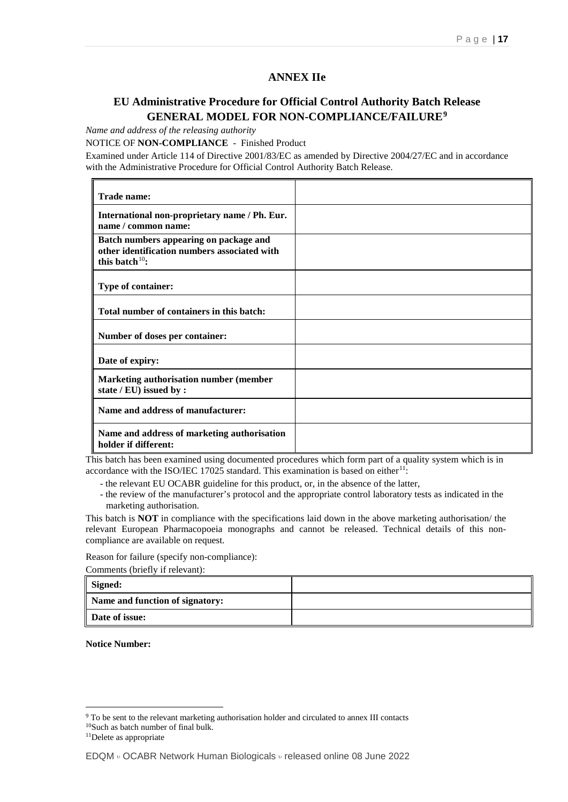#### **ANNEX IIe**

### **EU Administrative Procedure for Official Control Authority Batch Release GENERAL MODEL FOR NON-COMPLIANCE/FAILURE[9](#page-16-0)**

*Name and address of the releasing authority*

NOTICE OF **NON-COMPLIANCE** - Finished Product

Examined under Article 114 of Directive 2001/83/EC as amended by Directive 2004/27/EC and in accordance with the Administrative Procedure for Official Control Authority Batch Release.

| Trade name:                                                                                                 |  |
|-------------------------------------------------------------------------------------------------------------|--|
| International non-proprietary name / Ph. Eur.<br>name / common name:                                        |  |
| Batch numbers appearing on package and<br>other identification numbers associated with<br>this batch $10$ : |  |
| Type of container:                                                                                          |  |
| Total number of containers in this batch:                                                                   |  |
| Number of doses per container:                                                                              |  |
| Date of expiry:                                                                                             |  |
| <b>Marketing authorisation number (member</b><br>state / EU) issued by :                                    |  |
| Name and address of manufacturer:                                                                           |  |
| Name and address of marketing authorisation<br>holder if different:                                         |  |

This batch has been examined using documented procedures which form part of a quality system which is in accordance with the ISO/IEC 17025 standard. This examination is based on either<sup>[11](#page-16-2)</sup>:

- the relevant EU OCABR guideline for this product, or, in the absence of the latter,

- the review of the manufacturer's protocol and the appropriate control laboratory tests as indicated in the marketing authorisation.

This batch is **NOT** in compliance with the specifications laid down in the above marketing authorisation/ the relevant European Pharmacopoeia monographs and cannot be released. Technical details of this noncompliance are available on request.

Reason for failure (specify non-compliance):

Comments (briefly if relevant):

| Signed:                         |  |
|---------------------------------|--|
| Name and function of signatory: |  |
| Date of issue:                  |  |

**Notice Number:**

<span id="page-16-0"></span><sup>&</sup>lt;sup>9</sup> To be sent to the relevant marketing authorisation holder and circulated to annex III contacts

<span id="page-16-1"></span><sup>10</sup>Such as batch number of final bulk.

<span id="page-16-2"></span><sup>&</sup>lt;sup>11</sup>Delete as appropriate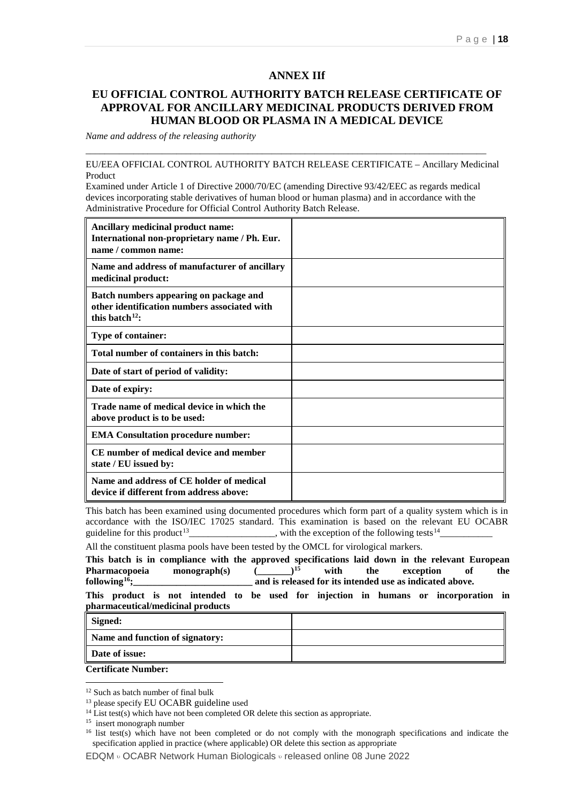#### **ANNEX IIf**

#### **EU OFFICIAL CONTROL AUTHORITY BATCH RELEASE CERTIFICATE OF APPROVAL FOR ANCILLARY MEDICINAL PRODUCTS DERIVED FROM HUMAN BLOOD OR PLASMA IN A MEDICAL DEVICE**

*Name and address of the releasing authority*

EU/EEA OFFICIAL CONTROL AUTHORITY BATCH RELEASE CERTIFICATE – Ancillary Medicinal Product

Examined under Article 1 of Directive 2000/70/EC (amending Directive 93/42/EEC as regards medical devices incorporating stable derivatives of human blood or human plasma) and in accordance with the Administrative Procedure for Official Control Authority Batch Release.

\_\_\_\_\_\_\_\_\_\_\_\_\_\_\_\_\_\_\_\_\_\_\_\_\_\_\_\_\_\_\_\_\_\_\_\_\_\_\_\_\_\_\_\_\_\_\_\_\_\_\_\_\_\_\_\_\_\_\_\_\_\_\_\_\_\_\_\_\_\_\_\_\_\_\_\_\_\_\_\_\_\_\_\_

| Ancillary medicinal product name:<br>International non-proprietary name / Ph. Eur.<br>name / common name:      |  |
|----------------------------------------------------------------------------------------------------------------|--|
| Name and address of manufacturer of ancillary<br>medicinal product:                                            |  |
| Batch numbers appearing on package and<br>other identification numbers associated with<br>this batch $^{12}$ : |  |
| Type of container:                                                                                             |  |
| Total number of containers in this batch:                                                                      |  |
| Date of start of period of validity:                                                                           |  |
| Date of expiry:                                                                                                |  |
| Trade name of medical device in which the<br>above product is to be used:                                      |  |
| <b>EMA Consultation procedure number:</b>                                                                      |  |
| CE number of medical device and member<br>state / EU issued by:                                                |  |
| Name and address of CE holder of medical<br>device if different from address above:                            |  |

This batch has been examined using documented procedures which form part of a quality system which is in accordance with the ISO/IEC 17025 standard. This examination is based on the relevant EU OCABR guideline for this product<sup>[13](#page-17-1)</sup>\_\_\_\_\_\_\_\_\_\_\_\_\_\_\_\_, with the exception of the following tests<sup>[14](#page-17-2)</sup>\_

All the constituent plasma pools have been tested by the OMCL for virological markers.

This batch is in compliance with the approved specifications laid down in the relevant European **Pharmacopoeia** monograph(s) ( )<sup>15</sup> with the exception of the Pharmacopoeia monograph(s)  $(\underline{\hspace{1cm}})^{15}$  $(\underline{\hspace{1cm}})^{15}$  $(\underline{\hspace{1cm}})^{15}$  with the exception of the following<sup>16</sup>; and is released for its intended use as indicated above.

**This product is not intended to be used for injection in humans or incorporation in pharmaceutical/medicinal products**

| Signed:                                                               |  |
|-----------------------------------------------------------------------|--|
| Name and function of signatory:                                       |  |
| Date of issue:                                                        |  |
| $\alpha$ $\beta$ $\beta$ $\gamma$ $\gamma$ $\gamma$ $\gamma$ $\gamma$ |  |

EDQM <sup>υ</sup> OCABR Network Human Biologicals <sup>υ</sup> released online 08 June 2022

**Certificate Number:**

<span id="page-17-0"></span><sup>&</sup>lt;sup>12</sup> Such as batch number of final bulk

<span id="page-17-1"></span><sup>&</sup>lt;sup>13</sup> please specify EU OCABR guideline used

<span id="page-17-2"></span><sup>&</sup>lt;sup>14</sup> List test(s) which have not been completed OR delete this section as appropriate.

<span id="page-17-3"></span><sup>15</sup> insert monograph number

<span id="page-17-4"></span><sup>&</sup>lt;sup>16</sup> list test(s) which have not been completed or do not comply with the monograph specifications and indicate the specification applied in practice (where applicable) OR delete this section as appropriate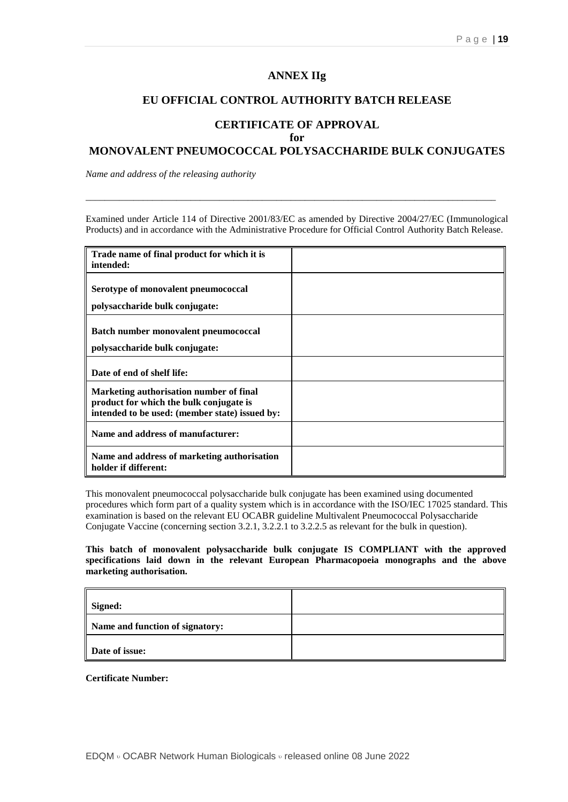#### **ANNEX IIg**

#### **EU OFFICIAL CONTROL AUTHORITY BATCH RELEASE**

#### **CERTIFICATE OF APPROVAL for**

#### **MONOVALENT PNEUMOCOCCAL POLYSACCHARIDE BULK CONJUGATES**

*Name and address of the releasing authority*

Examined under Article 114 of Directive 2001/83/EC as amended by Directive 2004/27/EC (Immunological Products) and in accordance with the Administrative Procedure for Official Control Authority Batch Release.

\_\_\_\_\_\_\_\_\_\_\_\_\_\_\_\_\_\_\_\_\_\_\_\_\_\_\_\_\_\_\_\_\_\_\_\_\_\_\_\_\_\_\_\_\_\_\_\_\_\_\_\_\_\_\_\_\_\_\_\_\_\_\_\_\_\_\_\_\_\_\_\_\_\_\_\_\_\_\_\_\_\_\_\_\_\_

| Trade name of final product for which it is<br>intended:                                                                             |  |
|--------------------------------------------------------------------------------------------------------------------------------------|--|
| Serotype of monovalent pneumococcal                                                                                                  |  |
| polysaccharide bulk conjugate:                                                                                                       |  |
| <b>Batch number monovalent pneumococcal</b><br>polysaccharide bulk conjugate:                                                        |  |
| Date of end of shelf life:                                                                                                           |  |
| Marketing authorisation number of final<br>product for which the bulk conjugate is<br>intended to be used: (member state) issued by: |  |
| Name and address of manufacturer:                                                                                                    |  |
| Name and address of marketing authorisation<br>holder if different:                                                                  |  |

This monovalent pneumococcal polysaccharide bulk conjugate has been examined using documented procedures which form part of a quality system which is in accordance with the ISO/IEC 17025 standard. This examination is based on the relevant EU OCABR guideline Multivalent Pneumococcal Polysaccharide Conjugate Vaccine (concerning section 3.2.1, 3.2.2.1 to 3.2.2.5 as relevant for the bulk in question).

**This batch of monovalent polysaccharide bulk conjugate IS COMPLIANT with the approved specifications laid down in the relevant European Pharmacopoeia monographs and the above marketing authorisation.**

| Signed:                         |  |
|---------------------------------|--|
| Name and function of signatory: |  |
| Date of issue:                  |  |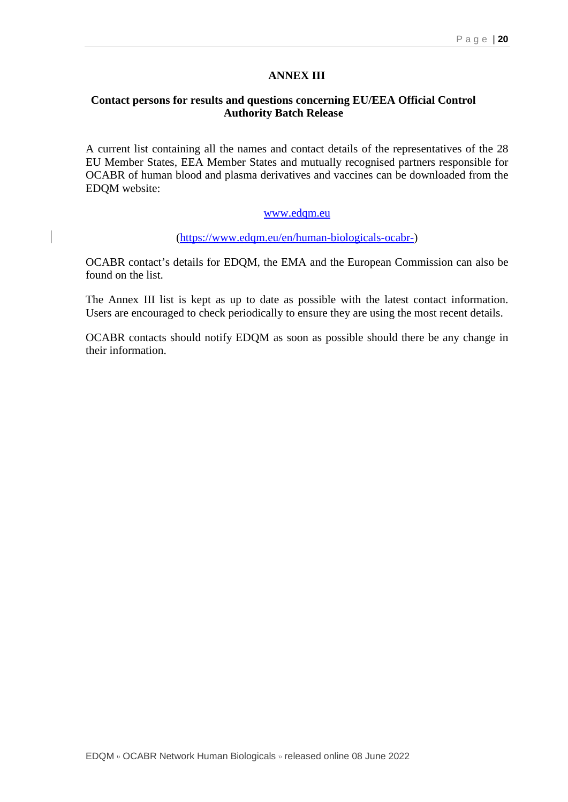#### **ANNEX III**

#### **Contact persons for results and questions concerning EU/EEA Official Control Authority Batch Release**

A current list containing all the names and contact details of the representatives of the 28 EU Member States, EEA Member States and mutually recognised partners responsible for OCABR of human blood and plasma derivatives and vaccines can be downloaded from the EDQM website:

#### [www.edqm.eu](http://www.pheur.org/)

[\(https://www.edqm.eu/en/human-biologicals-ocabr-\)](https://www.edqm.eu/en/human-biologicals-ocabr-)

OCABR contact's details for EDQM, the EMA and the European Commission can also be found on the list.

The Annex III list is kept as up to date as possible with the latest contact information. Users are encouraged to check periodically to ensure they are using the most recent details.

OCABR contacts should notify EDQM as soon as possible should there be any change in their information.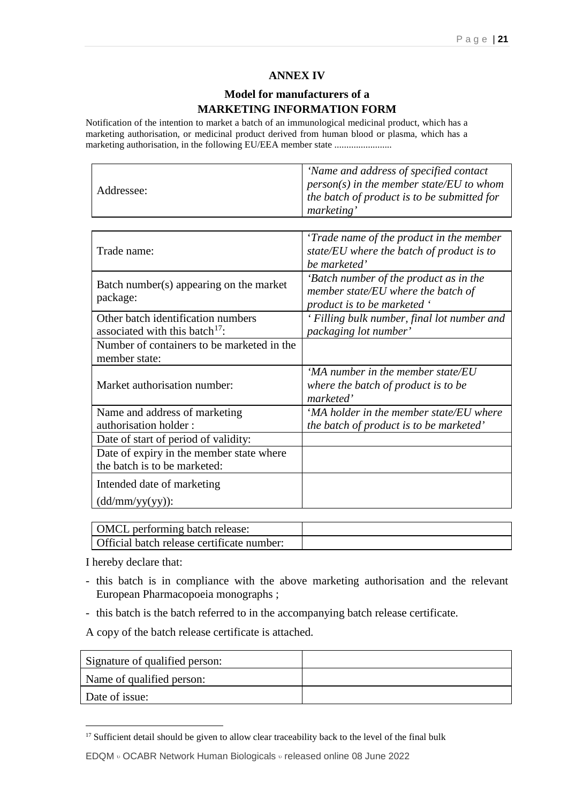### **ANNEX IV**

### **Model for manufacturers of a MARKETING INFORMATION FORM**

Notification of the intention to market a batch of an immunological medicinal product, which has a marketing authorisation, or medicinal product derived from human blood or plasma, which has a marketing authorisation, in the following EU/EEA member state ........................

|            | 'Name and address of specified contact                                                          |
|------------|-------------------------------------------------------------------------------------------------|
| Addressee: | $\vert$ person(s) in the member state/EU to whom<br>the batch of product is to be submitted for |
|            | marketing'                                                                                      |

| Trade name:                                                                      | 'Trade name of the product in the member<br>state/EU where the batch of product is to<br>be marketed'       |
|----------------------------------------------------------------------------------|-------------------------------------------------------------------------------------------------------------|
| Batch number(s) appearing on the market<br>package:                              | 'Batch number of the product as in the<br>member state/EU where the batch of<br>product is to be marketed ' |
| Other batch identification numbers<br>associated with this batch <sup>17</sup> : | Filling bulk number, final lot number and<br>packaging lot number'                                          |
| Number of containers to be marketed in the<br>member state:                      |                                                                                                             |
| Market authorisation number:                                                     | 'MA number in the member state/EU<br>where the batch of product is to be<br>marketed'                       |
| Name and address of marketing                                                    | 'MA holder in the member state/EU where                                                                     |
| authorisation holder:                                                            | the batch of product is to be marketed'                                                                     |
| Date of start of period of validity:                                             |                                                                                                             |
| Date of expiry in the member state where                                         |                                                                                                             |
| the batch is to be marketed:                                                     |                                                                                                             |
| Intended date of marketing                                                       |                                                                                                             |
| $(dd/mm/yy(yy))$ :                                                               |                                                                                                             |

| <b>OMCL</b> performing batch release:      |  |
|--------------------------------------------|--|
| Official batch release certificate number: |  |

I hereby declare that:

- this batch is in compliance with the above marketing authorisation and the relevant European Pharmacopoeia monographs ;
- this batch is the batch referred to in the accompanying batch release certificate.

A copy of the batch release certificate is attached.

| Signature of qualified person: |  |
|--------------------------------|--|
| Name of qualified person:      |  |
| Date of issue:                 |  |

<span id="page-20-0"></span><sup>&</sup>lt;sup>17</sup> Sufficient detail should be given to allow clear traceability back to the level of the final bulk

EDQM <sup>υ</sup> OCABR Network Human Biologicals <sup>υ</sup> released online 08 June 2022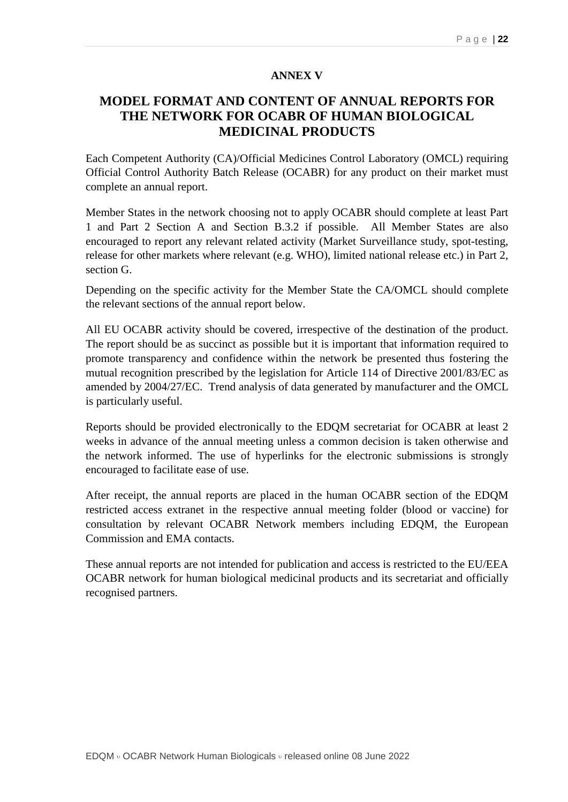#### **ANNEX V**

### **MODEL FORMAT AND CONTENT OF ANNUAL REPORTS FOR THE NETWORK FOR OCABR OF HUMAN BIOLOGICAL MEDICINAL PRODUCTS**

Each Competent Authority (CA)/Official Medicines Control Laboratory (OMCL) requiring Official Control Authority Batch Release (OCABR) for any product on their market must complete an annual report.

Member States in the network choosing not to apply OCABR should complete at least Part 1 and Part 2 Section A and Section B.3.2 if possible. All Member States are also encouraged to report any relevant related activity (Market Surveillance study, spot-testing, release for other markets where relevant (e.g. WHO), limited national release etc.) in Part 2, section G.

Depending on the specific activity for the Member State the CA/OMCL should complete the relevant sections of the annual report below.

All EU OCABR activity should be covered, irrespective of the destination of the product. The report should be as succinct as possible but it is important that information required to promote transparency and confidence within the network be presented thus fostering the mutual recognition prescribed by the legislation for Article 114 of Directive 2001/83/EC as amended by 2004/27/EC. Trend analysis of data generated by manufacturer and the OMCL is particularly useful.

Reports should be provided electronically to the EDQM secretariat for OCABR at least 2 weeks in advance of the annual meeting unless a common decision is taken otherwise and the network informed. The use of hyperlinks for the electronic submissions is strongly encouraged to facilitate ease of use.

After receipt, the annual reports are placed in the human OCABR section of the EDQM restricted access extranet in the respective annual meeting folder (blood or vaccine) for consultation by relevant OCABR Network members including EDQM, the European Commission and EMA contacts.

These annual reports are not intended for publication and access is restricted to the EU/EEA OCABR network for human biological medicinal products and its secretariat and officially recognised partners.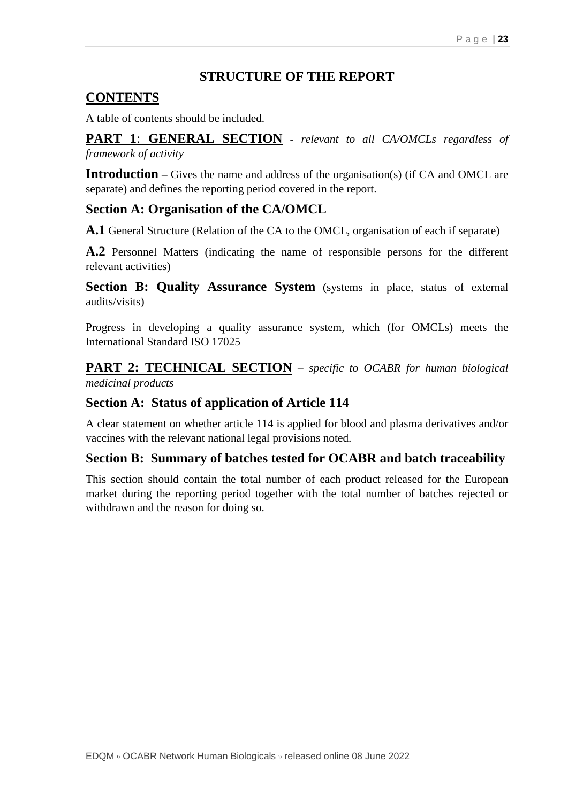### **STRUCTURE OF THE REPORT**

### **CONTENTS**

A table of contents should be included.

**PART 1**: **GENERAL SECTION -** *relevant to all CA/OMCLs regardless of framework of activity*

**Introduction** – Gives the name and address of the organisation(s) (if CA and OMCL are separate) and defines the reporting period covered in the report.

### **Section A: Organisation of the CA/OMCL**

**A.1** General Structure (Relation of the CA to the OMCL, organisation of each if separate)

**A.2** Personnel Matters (indicating the name of responsible persons for the different relevant activities)

**Section B: Quality Assurance System** (systems in place, status of external audits/visits)

Progress in developing a quality assurance system, which (for OMCLs) meets the International Standard ISO 17025

**PART 2: TECHNICAL SECTION** – *specific to OCABR for human biological medicinal products*

### **Section A: Status of application of Article 114**

A clear statement on whether article 114 is applied for blood and plasma derivatives and/or vaccines with the relevant national legal provisions noted.

### **Section B: Summary of batches tested for OCABR and batch traceability**

This section should contain the total number of each product released for the European market during the reporting period together with the total number of batches rejected or withdrawn and the reason for doing so.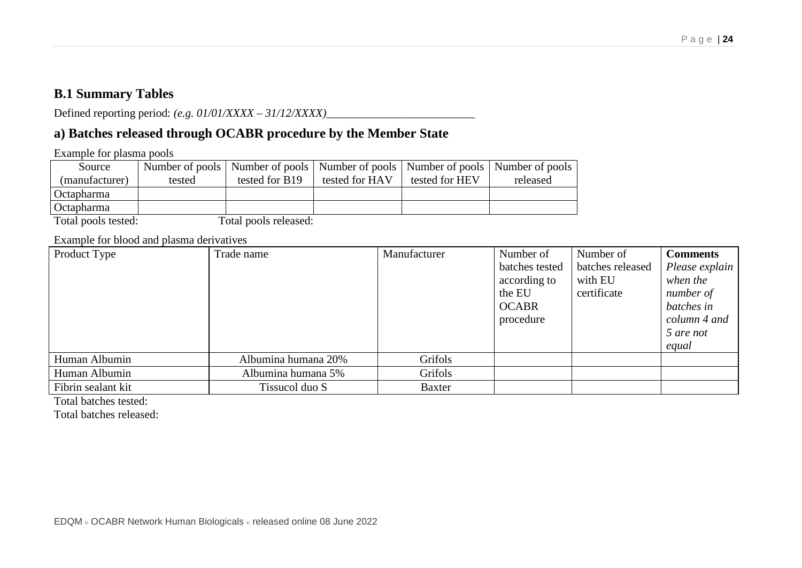### **B.1 Summary Tables**

Defined reporting period: *(e.g. 01/01/XXXX – 31/12/XXXX)*\_\_\_\_\_\_\_\_\_\_\_\_\_\_\_\_\_\_\_\_\_\_\_\_\_\_

### **a) Batches released through OCABR procedure by the Member State**

Example for plasma pools

| Source            |        |                |                |                | Number of pools   Number of pools   Number of pools   Number of pools   Number of pools |
|-------------------|--------|----------------|----------------|----------------|-----------------------------------------------------------------------------------------|
| (manufacturer)    | tested | tested for B19 | tested for HAV | tested for HEV | released                                                                                |
| <b>Octapharma</b> |        |                |                |                |                                                                                         |
| <b>Octapharma</b> |        |                |                |                |                                                                                         |

Total pools tested: Total pools released:

Example for blood and plasma derivatives

| Product Type       | Trade name          | Manufacturer  | Number of      | Number of        | <b>Comments</b> |
|--------------------|---------------------|---------------|----------------|------------------|-----------------|
|                    |                     |               | batches tested | batches released | Please explain  |
|                    |                     |               | according to   | with EU          | when the        |
|                    |                     |               | the EU         | certificate      | number of       |
|                    |                     |               | <b>OCABR</b>   |                  | batches in      |
|                    |                     |               | procedure      |                  | column 4 and    |
|                    |                     |               |                |                  | 5 are not       |
|                    |                     |               |                |                  | equal           |
| Human Albumin      | Albumina humana 20% | Grifols       |                |                  |                 |
| Human Albumin      | Albumina humana 5%  | Grifols       |                |                  |                 |
| Fibrin sealant kit | Tissucol duo S      | <b>Baxter</b> |                |                  |                 |

Total batches tested:

Total batches released: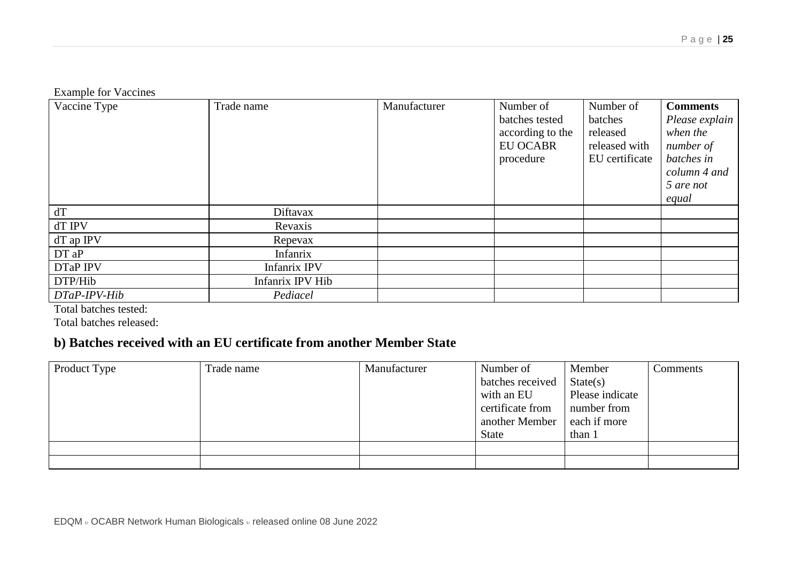Example for Vaccines

| Vaccine Type | Trade name          | Manufacturer | Number of        | Number of      | <b>Comments</b> |
|--------------|---------------------|--------------|------------------|----------------|-----------------|
|              |                     |              | batches tested   | batches        | Please explain  |
|              |                     |              | according to the | released       | when the        |
|              |                     |              | <b>EU OCABR</b>  | released with  | number of       |
|              |                     |              | procedure        | EU certificate | batches in      |
|              |                     |              |                  |                | column 4 and    |
|              |                     |              |                  |                | 5 are not       |
|              |                     |              |                  |                | equal           |
| dT           | Diftavax            |              |                  |                |                 |
| dT IPV       | Revaxis             |              |                  |                |                 |
| dT ap IPV    | Repevax             |              |                  |                |                 |
| DT aP        | Infanrix            |              |                  |                |                 |
| DTaP IPV     | <b>Infanrix IPV</b> |              |                  |                |                 |
| DTP/Hib      | Infanrix IPV Hib    |              |                  |                |                 |
| DTaP-IPV-Hib | Pediacel            |              |                  |                |                 |

Total batches tested:

Total batches released:

### **b) Batches received with an EU certificate from another Member State**

| Product Type | Trade name | Manufacturer | Number of<br>batches received<br>with an EU<br>certificate from<br>another Member<br>State | Member<br>State(s)<br>Please indicate<br>number from<br>each if more<br>than 1 | Comments |
|--------------|------------|--------------|--------------------------------------------------------------------------------------------|--------------------------------------------------------------------------------|----------|
|              |            |              |                                                                                            |                                                                                |          |
|              |            |              |                                                                                            |                                                                                |          |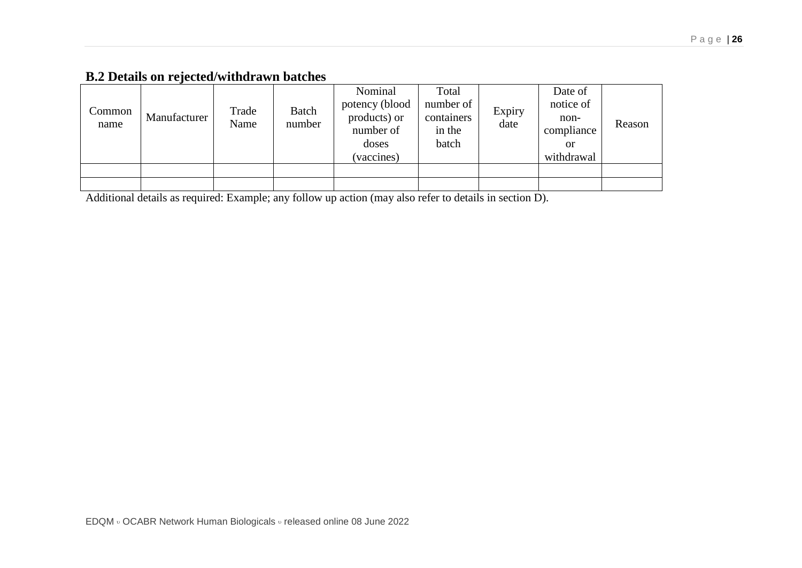### **B.2 Details on rejected/withdrawn batches**

| Common<br>name | Manufacturer | Trade<br>Name | Batch<br>number | Nominal<br>potency (blood<br>products) or<br>number of<br>doses<br>(vaccines) | Total<br>number of<br>containers<br>in the<br>batch | Expiry<br>date | Date of<br>notice of<br>non-<br>compliance<br>or<br>withdrawal | Reason |
|----------------|--------------|---------------|-----------------|-------------------------------------------------------------------------------|-----------------------------------------------------|----------------|----------------------------------------------------------------|--------|
|                |              |               |                 |                                                                               |                                                     |                |                                                                |        |
|                |              |               |                 |                                                                               |                                                     |                |                                                                |        |

Additional details as required: Example; any follow up action (may also refer to details in section D).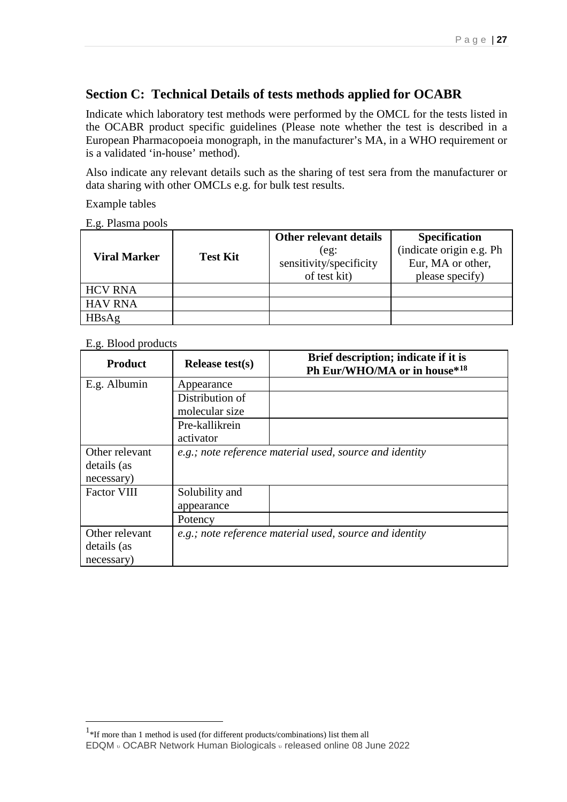### **Section C: Technical Details of tests methods applied for OCABR**

Indicate which laboratory test methods were performed by the OMCL for the tests listed in the OCABR product specific guidelines (Please note whether the test is described in a European Pharmacopoeia monograph, in the manufacturer's MA, in a WHO requirement or is a validated 'in-house' method).

Also indicate any relevant details such as the sharing of test sera from the manufacturer or data sharing with other OMCLs e.g. for bulk test results.

Example tables

E.g. Plasma pools

| <b>Viral Marker</b> | <b>Test Kit</b> | Other relevant details<br>(eg)<br>sensitivity/specificity<br>of test kit) | <b>Specification</b><br>(indicate origin e.g. Ph<br>Eur, MA or other,<br>please specify) |
|---------------------|-----------------|---------------------------------------------------------------------------|------------------------------------------------------------------------------------------|
| <b>HCV RNA</b>      |                 |                                                                           |                                                                                          |
| <b>HAV RNA</b>      |                 |                                                                           |                                                                                          |
| HBsAg               |                 |                                                                           |                                                                                          |

### E.g. Blood products

| <b>Product</b>     | Release test $(s)$ | Brief description; indicate if it is<br>Ph Eur/WHO/MA or in house*18 |
|--------------------|--------------------|----------------------------------------------------------------------|
| E.g. Albumin       | Appearance         |                                                                      |
|                    | Distribution of    |                                                                      |
|                    | molecular size     |                                                                      |
|                    | Pre-kallikrein     |                                                                      |
|                    | activator          |                                                                      |
| Other relevant     |                    | e.g.; note reference material used, source and identity              |
| details (as        |                    |                                                                      |
| necessary)         |                    |                                                                      |
| <b>Factor VIII</b> | Solubility and     |                                                                      |
|                    | appearance         |                                                                      |
|                    | Potency            |                                                                      |
| Other relevant     |                    | e.g.; note reference material used, source and identity              |
| details (as        |                    |                                                                      |
| necessary)         |                    |                                                                      |

<span id="page-26-0"></span>EDQM <sup>υ</sup> OCABR Network Human Biologicals <sup>υ</sup> released online 08 June 2022  $\frac{1}{1}$ <sup>1</sup>\*If more than 1 method is used (for different products/combinations) list them all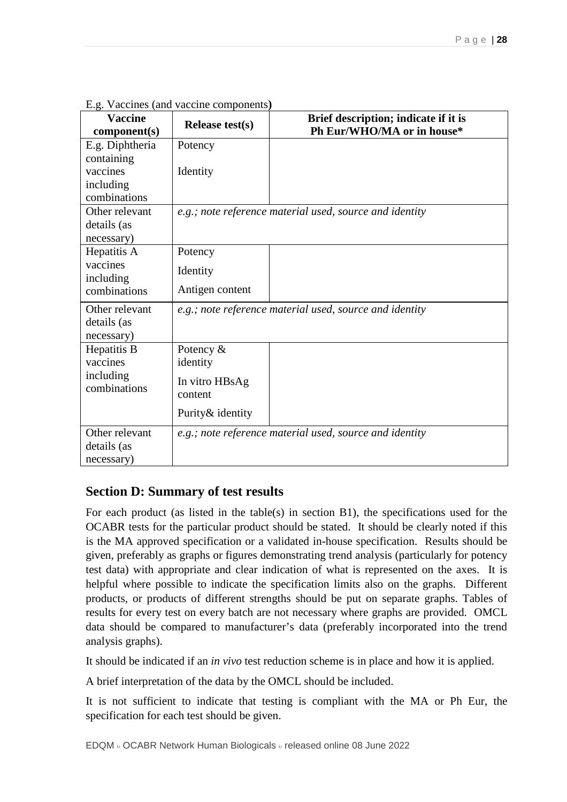| <b>Vaccine</b><br>component(s) | Release test $(s)$ | Brief description; indicate if it is<br>Ph Eur/WHO/MA or in house* |
|--------------------------------|--------------------|--------------------------------------------------------------------|
| E.g. Diphtheria                | Potency            |                                                                    |
| containing                     |                    |                                                                    |
| vaccines                       | Identity           |                                                                    |
| including                      |                    |                                                                    |
| combinations                   |                    |                                                                    |
| Other relevant                 |                    | e.g.; note reference material used, source and identity            |
| details (as<br>necessary)      |                    |                                                                    |
| Hepatitis A                    | Potency            |                                                                    |
| vaccines                       |                    |                                                                    |
| including                      | Identity           |                                                                    |
| combinations                   | Antigen content    |                                                                    |
| Other relevant                 |                    | e.g.; note reference material used, source and identity            |
| details (as                    |                    |                                                                    |
| necessary)                     |                    |                                                                    |
| Hepatitis B                    | Potency $\&$       |                                                                    |
| vaccines                       | identity           |                                                                    |
| including<br>combinations      | In vitro HBsAg     |                                                                    |
|                                | content            |                                                                    |
|                                | Purity & identity  |                                                                    |
| Other relevant                 |                    | e.g.; note reference material used, source and identity            |
| details (as                    |                    |                                                                    |
| necessary)                     |                    |                                                                    |

E.g. Vaccines (and vaccine components**)** 

### **Section D: Summary of test results**

For each product (as listed in the table(s) in section B1), the specifications used for the OCABR tests for the particular product should be stated. It should be clearly noted if this is the MA approved specification or a validated in-house specification. Results should be given, preferably as graphs or figures demonstrating trend analysis (particularly for potency test data) with appropriate and clear indication of what is represented on the axes. It is helpful where possible to indicate the specification limits also on the graphs. Different products, or products of different strengths should be put on separate graphs. Tables of results for every test on every batch are not necessary where graphs are provided. OMCL data should be compared to manufacturer's data (preferably incorporated into the trend analysis graphs).

It should be indicated if an *in vivo* test reduction scheme is in place and how it is applied.

A brief interpretation of the data by the OMCL should be included.

It is not sufficient to indicate that testing is compliant with the MA or Ph Eur, the specification for each test should be given.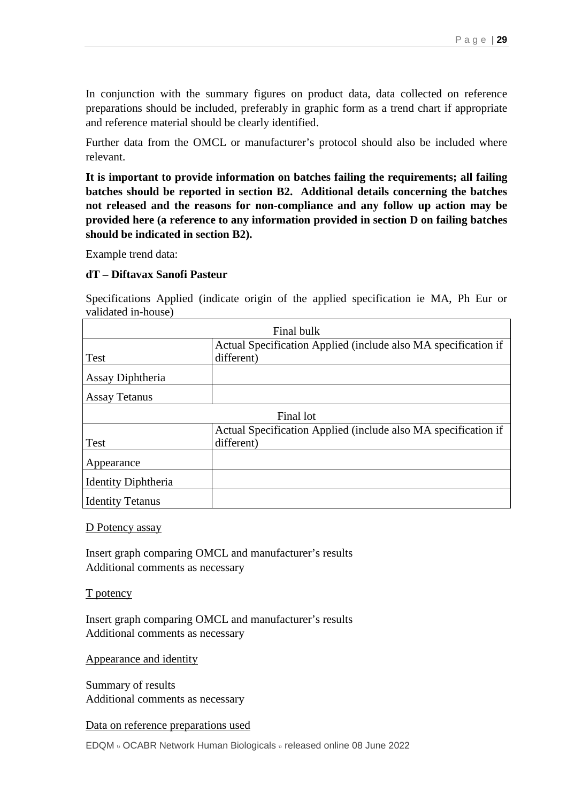In conjunction with the summary figures on product data, data collected on reference preparations should be included, preferably in graphic form as a trend chart if appropriate and reference material should be clearly identified.

Further data from the OMCL or manufacturer's protocol should also be included where relevant.

**It is important to provide information on batches failing the requirements; all failing batches should be reported in section B2. Additional details concerning the batches not released and the reasons for non-compliance and any follow up action may be provided here (a reference to any information provided in section D on failing batches should be indicated in section B2).** 

Example trend data:

#### **dT – Diftavax Sanofi Pasteur**

Specifications Applied (indicate origin of the applied specification ie MA, Ph Eur or validated in-house)

|                            | Final bulk                                                     |
|----------------------------|----------------------------------------------------------------|
|                            | Actual Specification Applied (include also MA specification if |
| Test                       | different)                                                     |
| Assay Diphtheria           |                                                                |
| <b>Assay Tetanus</b>       |                                                                |
|                            | Final lot                                                      |
|                            | Actual Specification Applied (include also MA specification if |
| Test                       | different)                                                     |
| Appearance                 |                                                                |
| <b>Identity Diphtheria</b> |                                                                |
| <b>Identity Tetanus</b>    |                                                                |

#### D Potency assay

Insert graph comparing OMCL and manufacturer's results Additional comments as necessary

#### T potency

Insert graph comparing OMCL and manufacturer's results Additional comments as necessary

Appearance and identity

Summary of results Additional comments as necessary

Data on reference preparations used

EDQM <sup>υ</sup> OCABR Network Human Biologicals <sup>υ</sup> released online 08 June 2022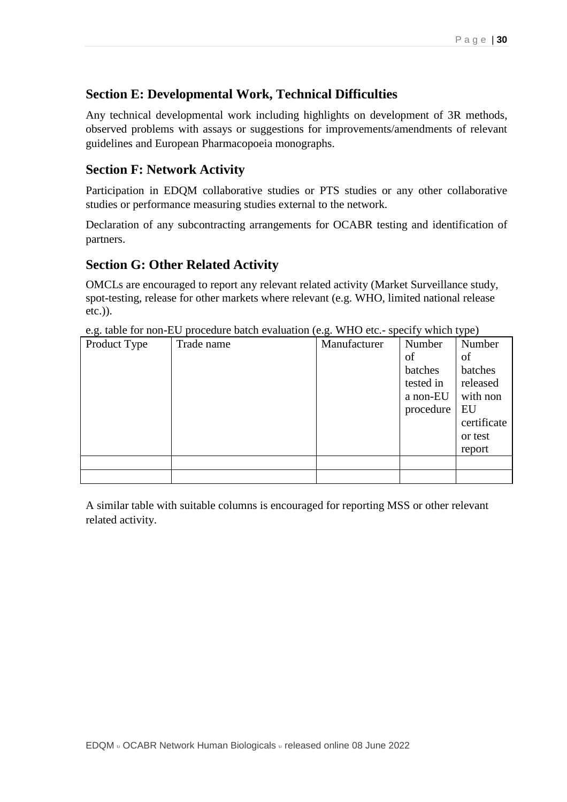### **Section E: Developmental Work, Technical Difficulties**

Any technical developmental work including highlights on development of 3R methods, observed problems with assays or suggestions for improvements/amendments of relevant guidelines and European Pharmacopoeia monographs.

### **Section F: Network Activity**

Participation in EDQM collaborative studies or PTS studies or any other collaborative studies or performance measuring studies external to the network.

Declaration of any subcontracting arrangements for OCABR testing and identification of partners.

### **Section G: Other Related Activity**

OMCLs are encouraged to report any relevant related activity (Market Surveillance study, spot-testing, release for other markets where relevant (e.g. WHO, limited national release etc.)).

| ັ<br>Product Type | Trade name | ັ<br>л.<br>Manufacturer | Number    | . .<br>Number |
|-------------------|------------|-------------------------|-----------|---------------|
|                   |            |                         | of        | of            |
|                   |            |                         | batches   | batches       |
|                   |            |                         | tested in | released      |
|                   |            |                         | a non-EU  | with non      |
|                   |            |                         | procedure | EU            |
|                   |            |                         |           | certificate   |
|                   |            |                         |           | or test       |
|                   |            |                         |           | report        |
|                   |            |                         |           |               |
|                   |            |                         |           |               |

e.g. table for non-EU procedure batch evaluation (e.g. WHO etc.- specify which type)

A similar table with suitable columns is encouraged for reporting MSS or other relevant related activity.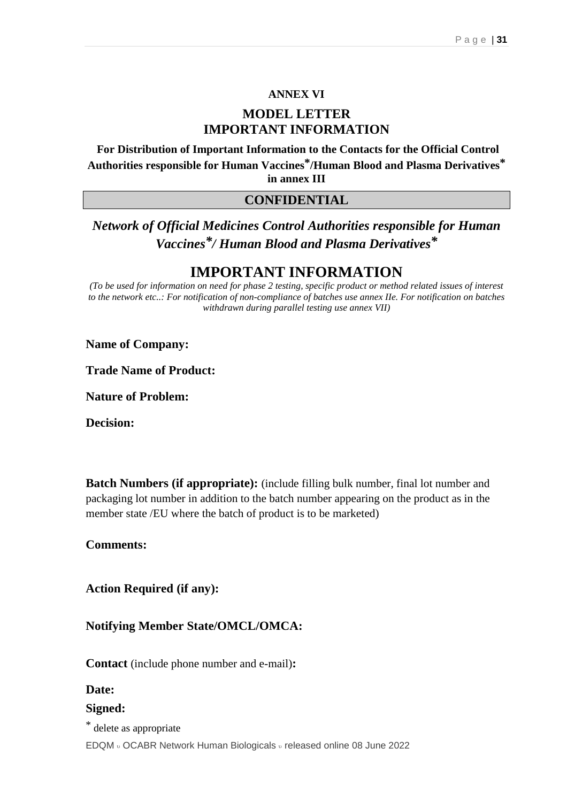### **ANNEX VI**

### **MODEL LETTER IMPORTANT INFORMATION**

**For Distribution of Important Information to the Contacts for the Official Control Authorities responsible for Human Vaccines\*/Human Blood and Plasma Derivatives\* in annex III**

### **CONFIDENTIAL**

### *Network of Official Medicines Control Authorities responsible for Human Vaccines\*/ Human Blood and Plasma Derivatives\**

### **IMPORTANT INFORMATION**

*(To be used for information on need for phase 2 testing, specific product or method related issues of interest to the network etc..: For notification of non-compliance of batches use annex IIe. For notification on batches withdrawn during parallel testing use annex VII)*

**Name of Company:**

**Trade Name of Product:**

**Nature of Problem:**

**Decision:**

**Batch Numbers (if appropriate):** (include filling bulk number, final lot number and packaging lot number in addition to the batch number appearing on the product as in the member state /EU where the batch of product is to be marketed)

**Comments:**

**Action Required (if any):**

**Notifying Member State/OMCL/OMCA:**

**Contact** (include phone number and e-mail)**:**

#### **Date:**

### **Signed:**

\* delete as appropriate

EDQM <sup>υ</sup> OCABR Network Human Biologicals <sup>υ</sup> released online 08 June 2022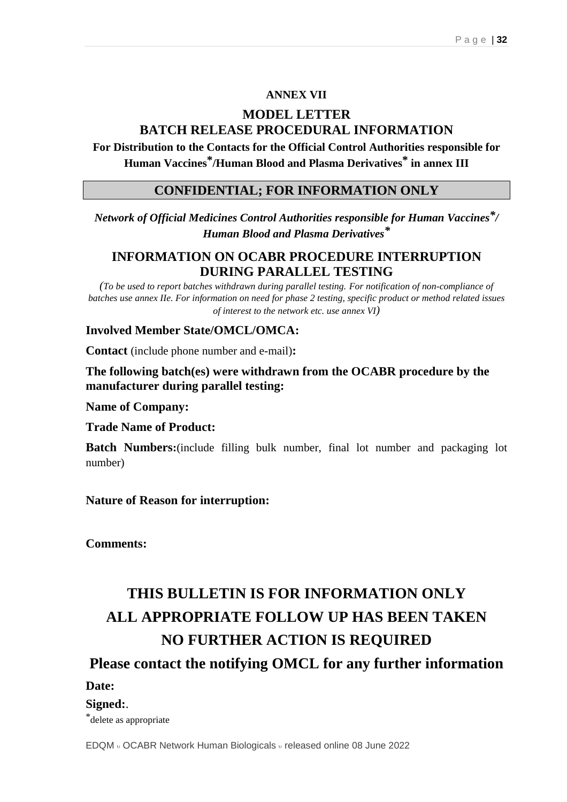### **ANNEX VII**

### **MODEL LETTER BATCH RELEASE PROCEDURAL INFORMATION**

**For Distribution to the Contacts for the Official Control Authorities responsible for Human Vaccines\*/Human Blood and Plasma Derivatives\* in annex III**

### **CONFIDENTIAL; FOR INFORMATION ONLY**

*Network of Official Medicines Control Authorities responsible for Human Vaccines\*/ Human Blood and Plasma Derivatives\**

### **INFORMATION ON OCABR PROCEDURE INTERRUPTION DURING PARALLEL TESTING**

*(To be used to report batches withdrawn during parallel testing. For notification of non-compliance of batches use annex IIe. For information on need for phase 2 testing, specific product or method related issues of interest to the network etc. use annex VI)*

### **Involved Member State/OMCL/OMCA:**

**Contact** (include phone number and e-mail)**:**

**The following batch(es) were withdrawn from the OCABR procedure by the manufacturer during parallel testing:**

**Name of Company:**

**Trade Name of Product:**

**Batch Numbers:**(include filling bulk number, final lot number and packaging lot number)

**Nature of Reason for interruption:**

**Comments:**

## **THIS BULLETIN IS FOR INFORMATION ONLY ALL APPROPRIATE FOLLOW UP HAS BEEN TAKEN NO FURTHER ACTION IS REQUIRED**

**Please contact the notifying OMCL for any further information**

#### **Date:**

#### **Signed:**.

\*delete as appropriate